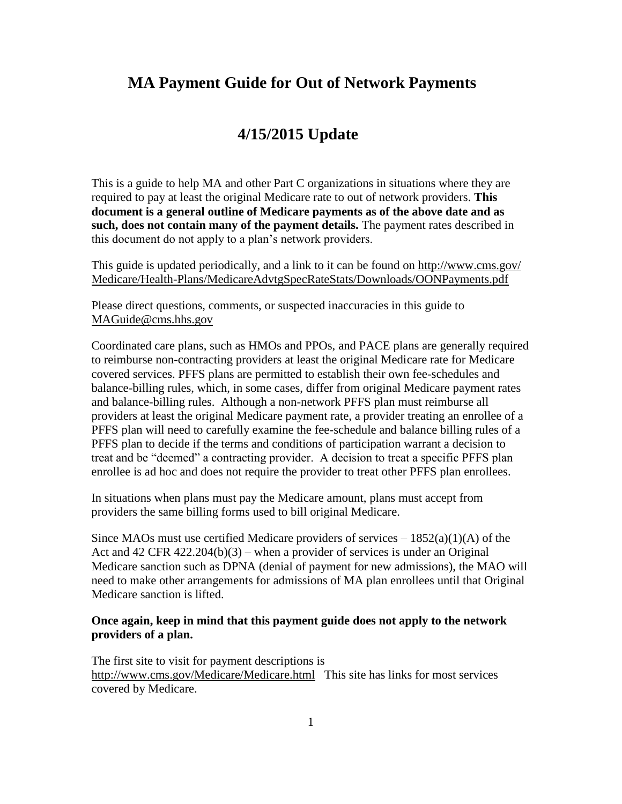# **MA Payment Guide for Out of Network Payments**

# **4/15/2015 Update**

This is a guide to help MA and other Part C organizations in situations where they are required to pay at least the original Medicare rate to out of network providers. **This document is a general outline of Medicare payments as of the above date and as such, does not contain many of the payment details.** The payment rates described in this document do not apply to a plan's network providers.

This guide is updated periodically, and a link to it can be found on [http://www.cms.gov/](http://www.cms.gov/Medicare/Health-Plans/MedicareAdvtgSpecRateStats/Downloads/OONPayments.pdf) [Medicare/Health-Plans/MedicareAdvtgSpecRateStats/Downloads/OONPayments.pdf](http://www.cms.gov/Medicare/Health-Plans/MedicareAdvtgSpecRateStats/Downloads/OONPayments.pdf) 

Please direct questions, comments, or suspected inaccuracies in this guide to [MAGuide@cms.hhs.gov](mailto:MAGuide@cms.hhs.gov) 

Coordinated care plans, such as HMOs and PPOs, and PACE plans are generally required to reimburse non-contracting providers at least the original Medicare rate for Medicare covered services. PFFS plans are permitted to establish their own fee-schedules and balance-billing rules, which, in some cases, differ from original Medicare payment rates and balance-billing rules. Although a non-network PFFS plan must reimburse all providers at least the original Medicare payment rate, a provider treating an enrollee of a PFFS plan will need to carefully examine the fee-schedule and balance billing rules of a PFFS plan to decide if the terms and conditions of participation warrant a decision to treat and be "deemed" a contracting provider. A decision to treat a specific PFFS plan enrollee is ad hoc and does not require the provider to treat other PFFS plan enrollees.

In situations when plans must pay the Medicare amount, plans must accept from providers the same billing forms used to bill original Medicare.

Since MAOs must use certified Medicare providers of services  $-1852(a)(1)(A)$  of the Act and 42 CFR 422.204(b)(3) – when a provider of services is under an Original Medicare sanction such as DPNA (denial of payment for new admissions), the MAO will need to make other arrangements for admissions of MA plan enrollees until that Original Medicare sanction is lifted.

#### **Once again, keep in mind that this payment guide does not apply to the network providers of a plan.**

The first site to visit for payment descriptions is <http://www.cms.gov/Medicare/Medicare.html>This site has links for most services covered by Medicare.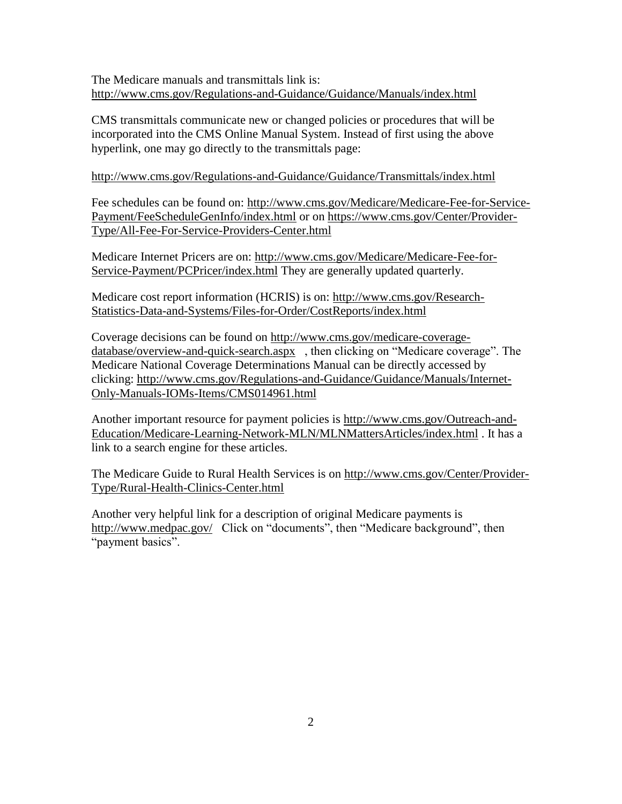The Medicare manuals and transmittals link is: <http://www.cms.gov/Regulations-and-Guidance/Guidance/Manuals/index.html>

CMS transmittals communicate new or changed policies or procedures that will be incorporated into the CMS Online Manual System. Instead of first using the above hyperlink, one may go directly to the transmittals page:

#### <http://www.cms.gov/Regulations-and-Guidance/Guidance/Transmittals/index.html>

Fee schedules can be found on: [http://www.cms.gov/Medicare/Medicare-Fee-for-Service-](http://www.cms.gov/Medicare/Medicare-Fee-for-Service-Payment/FeeScheduleGenInfo/index.html)[Payment/FeeScheduleGenInfo/index.html](http://www.cms.gov/Medicare/Medicare-Fee-for-Service-Payment/FeeScheduleGenInfo/index.html) or on [https://www.cms.gov/Center/Provider-](https://www.cms.gov/Center/Provider-Type/All-Fee-For-Service-Providers-Center.html)[Type/All-Fee-For-Service-Providers-Center.html](https://www.cms.gov/Center/Provider-Type/All-Fee-For-Service-Providers-Center.html)

Medicare Internet Pricers are on: [http://www.cms.gov/Medicare/Medicare-Fee-for-](http://www.cms.gov/Medicare/Medicare-Fee-for-Service-Payment/PCPricer/index.html)[Service-Payment/PCPricer/index.html](http://www.cms.gov/Medicare/Medicare-Fee-for-Service-Payment/PCPricer/index.html) They are generally updated quarterly.

Medicare cost report information (HCRIS) is on: [http://www.cms.gov/Research-](http://www.cms.gov/Research-Statistics-Data-and-Systems/Files-for-Order/CostReports/index.html)[Statistics-Data-and-Systems/Files-for-Order/CostReports/index.html](http://www.cms.gov/Research-Statistics-Data-and-Systems/Files-for-Order/CostReports/index.html)

Coverage decisions can be found on [http://www.cms.gov/medicare-coverage](http://www.cms.gov/medicare-coverage-database/overview-and-quick-search.aspx)[database/overview-and-quick-search.aspx](http://www.cms.gov/medicare-coverage-database/overview-and-quick-search.aspx) , then clicking on "Medicare coverage". The Medicare National Coverage Determinations Manual can be directly accessed by clicking: [http://www.cms.gov/Regulations-and-Guidance/Guidance/Manuals/Internet-](http://www.cms.gov/Regulations-and-Guidance/Guidance/Manuals/Internet-Only-Manuals-IOMs-Items/CMS014961.html)[Only-Manuals-IOMs-Items/CMS014961.html](http://www.cms.gov/Regulations-and-Guidance/Guidance/Manuals/Internet-Only-Manuals-IOMs-Items/CMS014961.html)

Another important resource for payment policies is [http://www.cms.gov/Outreach-and-](http://www.cms.gov/Outreach-and-Education/Medicare-Learning-Network-MLN/MLNMattersArticles/index.html)[Education/Medicare-Learning-Network-MLN/MLNMattersArticles/index.html](http://www.cms.gov/Outreach-and-Education/Medicare-Learning-Network-MLN/MLNMattersArticles/index.html) . It has a link to a search engine for these articles.

The Medicare Guide to Rural Health Services is on [http://www.cms.gov/Center/Provider-](http://www.cms.gov/Center/Provider-Type/Rural-Health-Clinics-Center.html)[Type/Rural-Health-Clinics-Center.html](http://www.cms.gov/Center/Provider-Type/Rural-Health-Clinics-Center.html)

Another very helpful link for a description of original Medicare payments is <http://www.medpac.gov/>Click on "documents", then "Medicare background", then "payment basics".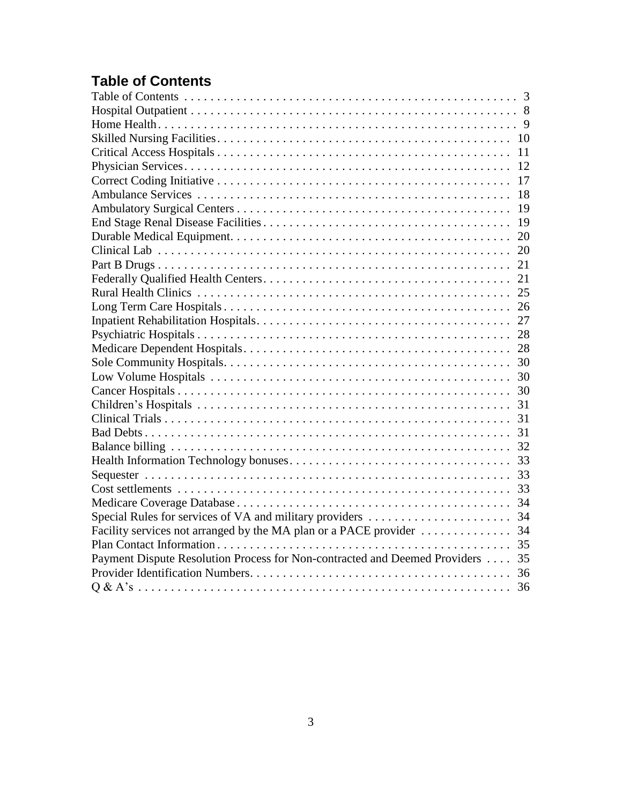# <span id="page-2-0"></span>**Table of Contents**

|                                                                               | 11 |
|-------------------------------------------------------------------------------|----|
|                                                                               | 12 |
|                                                                               |    |
|                                                                               | 18 |
|                                                                               |    |
|                                                                               |    |
|                                                                               |    |
|                                                                               |    |
|                                                                               |    |
|                                                                               |    |
|                                                                               |    |
|                                                                               |    |
|                                                                               |    |
|                                                                               |    |
|                                                                               |    |
|                                                                               |    |
|                                                                               |    |
|                                                                               |    |
|                                                                               |    |
|                                                                               |    |
|                                                                               |    |
|                                                                               |    |
|                                                                               |    |
|                                                                               |    |
|                                                                               |    |
|                                                                               |    |
|                                                                               |    |
|                                                                               |    |
|                                                                               |    |
| Payment Dispute Resolution Process for Non-contracted and Deemed Providers 35 |    |
|                                                                               |    |
|                                                                               |    |
|                                                                               |    |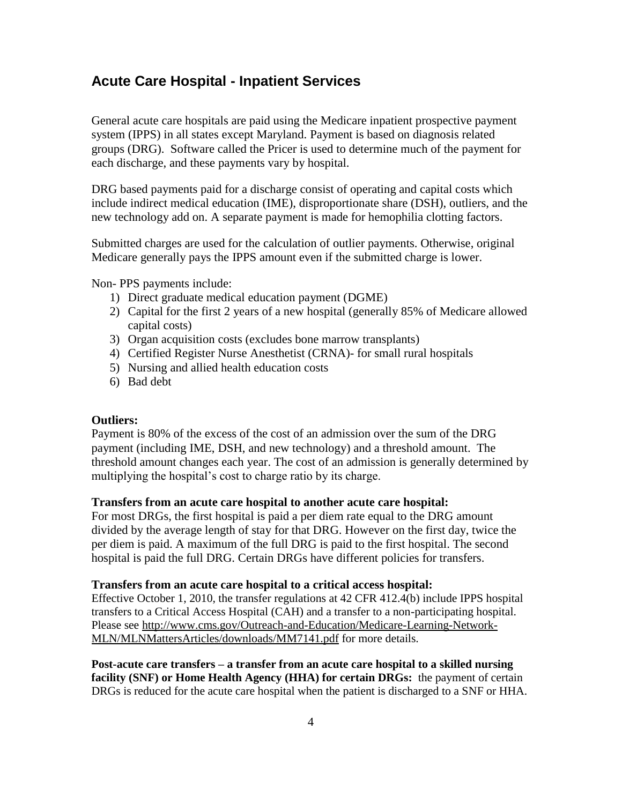# **Acute Care Hospital - Inpatient Services**

General acute care hospitals are paid using the Medicare inpatient prospective payment system (IPPS) in all states except Maryland. Payment is based on diagnosis related groups (DRG). Software called the Pricer is used to determine much of the payment for each discharge, and these payments vary by hospital.

DRG based payments paid for a discharge consist of operating and capital costs which include indirect medical education (IME), disproportionate share (DSH), outliers, and the new technology add on. A separate payment is made for hemophilia clotting factors.

Submitted charges are used for the calculation of outlier payments. Otherwise, original Medicare generally pays the IPPS amount even if the submitted charge is lower.

Non- PPS payments include:

- 1) Direct graduate medical education payment (DGME)
- 2) Capital for the first 2 years of a new hospital (generally 85% of Medicare allowed capital costs)
- 3) Organ acquisition costs (excludes bone marrow transplants)
- 4) Certified Register Nurse Anesthetist (CRNA)- for small rural hospitals
- 5) Nursing and allied health education costs
- 6) Bad debt

#### **Outliers:**

Payment is 80% of the excess of the cost of an admission over the sum of the DRG payment (including IME, DSH, and new technology) and a threshold amount. The threshold amount changes each year. The cost of an admission is generally determined by multiplying the hospital's cost to charge ratio by its charge.

#### **Transfers from an acute care hospital to another acute care hospital:**

For most DRGs, the first hospital is paid a per diem rate equal to the DRG amount divided by the average length of stay for that DRG. However on the first day, twice the per diem is paid. A maximum of the full DRG is paid to the first hospital. The second hospital is paid the full DRG. Certain DRGs have different policies for transfers.

#### **Transfers from an acute care hospital to a critical access hospital:**

Effective October 1, 2010, the transfer regulations at 42 CFR 412.4(b) include IPPS hospital transfers to a Critical Access Hospital (CAH) and a transfer to a non-participating hospital. Please see [http://www.cms.gov/Outreach-and-Education/Medicare-Learning-Network-](http://www.cms.gov/Outreach-and-Education/Medicare-Learning-Network-MLN/MLNMattersArticles/downloads/MM7141.pdf)[MLN/MLNMattersArticles/downloads/MM7141.pdf](http://www.cms.gov/Outreach-and-Education/Medicare-Learning-Network-MLN/MLNMattersArticles/downloads/MM7141.pdf) for more details.

**Post-acute care transfers – a transfer from an acute care hospital to a skilled nursing facility (SNF) or Home Health Agency (HHA) for certain DRGs:** the payment of certain DRGs is reduced for the acute care hospital when the patient is discharged to a SNF or HHA.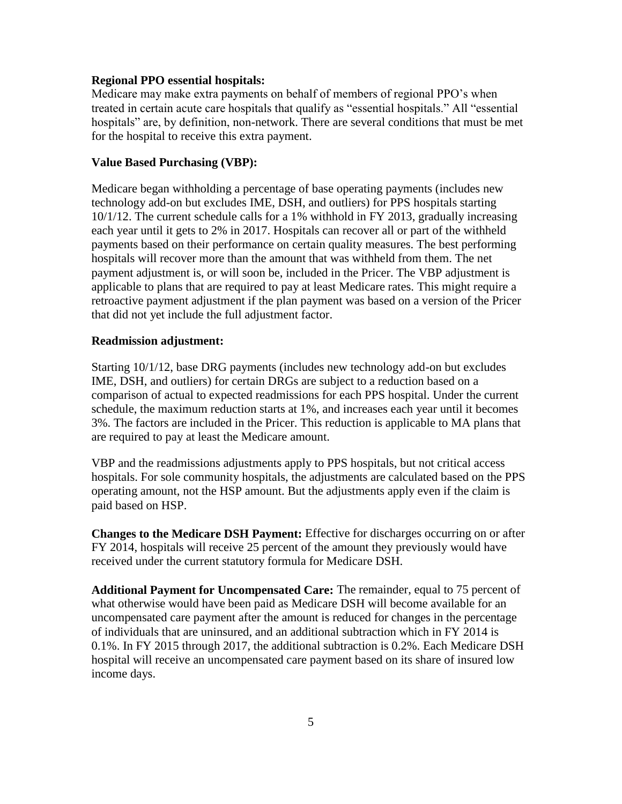#### **Regional PPO essential hospitals:**

Medicare may make extra payments on behalf of members of regional PPO's when treated in certain acute care hospitals that qualify as "essential hospitals." All "essential hospitals" are, by definition, non-network. There are several conditions that must be met for the hospital to receive this extra payment.

#### **Value Based Purchasing (VBP):**

Medicare began withholding a percentage of base operating payments (includes new technology add-on but excludes IME, DSH, and outliers) for PPS hospitals starting 10/1/12. The current schedule calls for a 1% withhold in FY 2013, gradually increasing each year until it gets to 2% in 2017. Hospitals can recover all or part of the withheld payments based on their performance on certain quality measures. The best performing hospitals will recover more than the amount that was withheld from them. The net payment adjustment is, or will soon be, included in the Pricer. The VBP adjustment is applicable to plans that are required to pay at least Medicare rates. This might require a retroactive payment adjustment if the plan payment was based on a version of the Pricer that did not yet include the full adjustment factor.

#### **Readmission adjustment:**

Starting 10/1/12, base DRG payments (includes new technology add-on but excludes IME, DSH, and outliers) for certain DRGs are subject to a reduction based on a comparison of actual to expected readmissions for each PPS hospital. Under the current schedule, the maximum reduction starts at 1%, and increases each year until it becomes 3%. The factors are included in the Pricer. This reduction is applicable to MA plans that are required to pay at least the Medicare amount.

VBP and the readmissions adjustments apply to PPS hospitals, but not critical access hospitals. For sole community hospitals, the adjustments are calculated based on the PPS operating amount, not the HSP amount. But the adjustments apply even if the claim is paid based on HSP.

**Changes to the Medicare DSH Payment:** Effective for discharges occurring on or after FY 2014, hospitals will receive 25 percent of the amount they previously would have received under the current statutory formula for Medicare DSH.

**Additional Payment for Uncompensated Care:** The remainder, equal to 75 percent of what otherwise would have been paid as Medicare DSH will become available for an uncompensated care payment after the amount is reduced for changes in the percentage of individuals that are uninsured, and an additional subtraction which in FY 2014 is 0.1%. In FY 2015 through 2017, the additional subtraction is 0.2%. Each Medicare DSH hospital will receive an uncompensated care payment based on its share of insured low income days.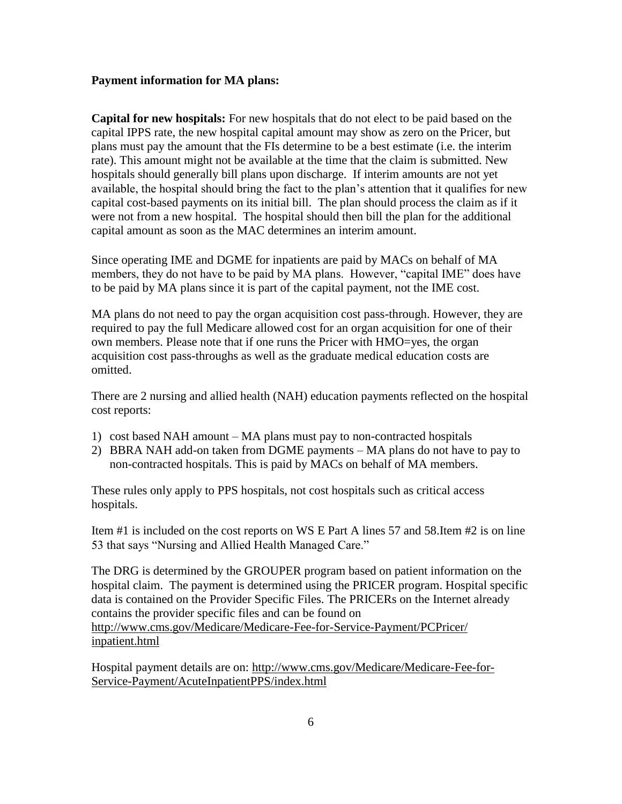#### **Payment information for MA plans:**

**Capital for new hospitals:** For new hospitals that do not elect to be paid based on the capital IPPS rate, the new hospital capital amount may show as zero on the Pricer, but plans must pay the amount that the FIs determine to be a best estimate (i.e. the interim rate). This amount might not be available at the time that the claim is submitted. New hospitals should generally bill plans upon discharge. If interim amounts are not yet available, the hospital should bring the fact to the plan's attention that it qualifies for new capital cost-based payments on its initial bill. The plan should process the claim as if it were not from a new hospital. The hospital should then bill the plan for the additional capital amount as soon as the MAC determines an interim amount.

Since operating IME and DGME for inpatients are paid by MACs on behalf of MA members, they do not have to be paid by MA plans. However, "capital IME" does have to be paid by MA plans since it is part of the capital payment, not the IME cost.

MA plans do not need to pay the organ acquisition cost pass-through. However, they are required to pay the full Medicare allowed cost for an organ acquisition for one of their own members. Please note that if one runs the Pricer with HMO=yes, the organ acquisition cost pass-throughs as well as the graduate medical education costs are omitted.

There are 2 nursing and allied health (NAH) education payments reflected on the hospital cost reports:

- 1) cost based NAH amount MA plans must pay to non-contracted hospitals
- 2) BBRA NAH add-on taken from DGME payments MA plans do not have to pay to non-contracted hospitals. This is paid by MACs on behalf of MA members.

These rules only apply to PPS hospitals, not cost hospitals such as critical access hospitals.

Item #1 is included on the cost reports on WS E Part A lines 57 and 58.Item #2 is on line 53 that says "Nursing and Allied Health Managed Care."

The DRG is determined by the GROUPER program based on patient information on the hospital claim. The payment is determined using the PRICER program. Hospital specific data is contained on the Provider Specific Files. The PRICERs on the Internet already contains the provider specific files and can be found on [http://www.cms.gov/Medicare/Medicare-Fee-for-Service-Payment/PCPricer/](http://www.cms.gov/Medicare/Medicare-Fee-for-Service-Payment/PCPricer/inpatient.html) [inpatient.html](http://www.cms.gov/Medicare/Medicare-Fee-for-Service-Payment/PCPricer/inpatient.html)

Hospital payment details are on: [http://www.cms.gov/Medicare/Medicare-Fee-for-](http://www.cms.gov/Medicare/Medicare-Fee-for-Service-Payment/AcuteInpatientPPS/index.html)[Service-Payment/AcuteInpatientPPS/index.html](http://www.cms.gov/Medicare/Medicare-Fee-for-Service-Payment/AcuteInpatientPPS/index.html)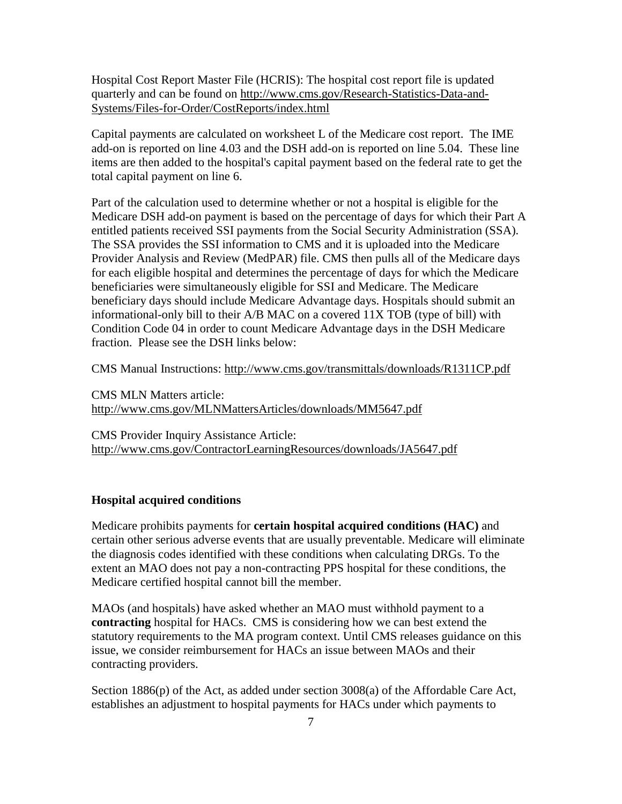Hospital Cost Report Master File (HCRIS): The hospital cost report file is updated quarterly and can be found on [http://www.cms.gov/Research-Statistics-Data-and-](http://www.cms.gov/Research-Statistics-Data-and-Systems/Files-for-Order/CostReports/index.html)[Systems/Files-for-Order/CostReports/index.html](http://www.cms.gov/Research-Statistics-Data-and-Systems/Files-for-Order/CostReports/index.html) 

Capital payments are calculated on worksheet L of the Medicare cost report. The IME add-on is reported on line 4.03 and the DSH add-on is reported on line 5.04. These line items are then added to the hospital's capital payment based on the federal rate to get the total capital payment on line 6.

Part of the calculation used to determine whether or not a hospital is eligible for the Medicare DSH add-on payment is based on the percentage of days for which their Part A entitled patients received SSI payments from the Social Security Administration (SSA). The SSA provides the SSI information to CMS and it is uploaded into the Medicare Provider Analysis and Review (MedPAR) file. CMS then pulls all of the Medicare days for each eligible hospital and determines the percentage of days for which the Medicare beneficiaries were simultaneously eligible for SSI and Medicare. The Medicare beneficiary days should include Medicare Advantage days. Hospitals should submit an informational-only bill to their A/B MAC on a covered 11X TOB (type of bill) with Condition Code 04 in order to count Medicare Advantage days in the DSH Medicare fraction. Please see the DSH links below:

CMS Manual Instructions: [http://www.cms.gov/transmittals/downloads/R1311CP.pdf](http://www.cms.hhs.gov/transmittals/downloads/R1311CP.pdf)

CMS MLN Matters article: [http://www.cms.gov/MLNMattersArticles/downloads/MM5647.pdf](http://www.cms.hhs.gov/MLNMattersArticles/downloads/MM5647.pdf)

CMS Provider Inquiry Assistance Article: [http://www.cms.gov/ContractorLearningResources/downloads/JA5647.pdf](http://www.cms.hhs.gov/ContractorLearningResources/downloads/JA5647.pdf)

#### **Hospital acquired conditions**

Medicare prohibits payments for **certain hospital acquired conditions (HAC)** and certain other serious adverse events that are usually preventable. Medicare will eliminate the diagnosis codes identified with these conditions when calculating DRGs. To the extent an MAO does not pay a non-contracting PPS hospital for these conditions, the Medicare certified hospital cannot bill the member.

MAOs (and hospitals) have asked whether an MAO must withhold payment to a **contracting** hospital for HACs. CMS is considering how we can best extend the statutory requirements to the MA program context. Until CMS releases guidance on this issue, we consider reimbursement for HACs an issue between MAOs and their contracting providers.

Section 1886(p) of the Act, as added under section 3008(a) of the Affordable Care Act, establishes an adjustment to hospital payments for HACs under which payments to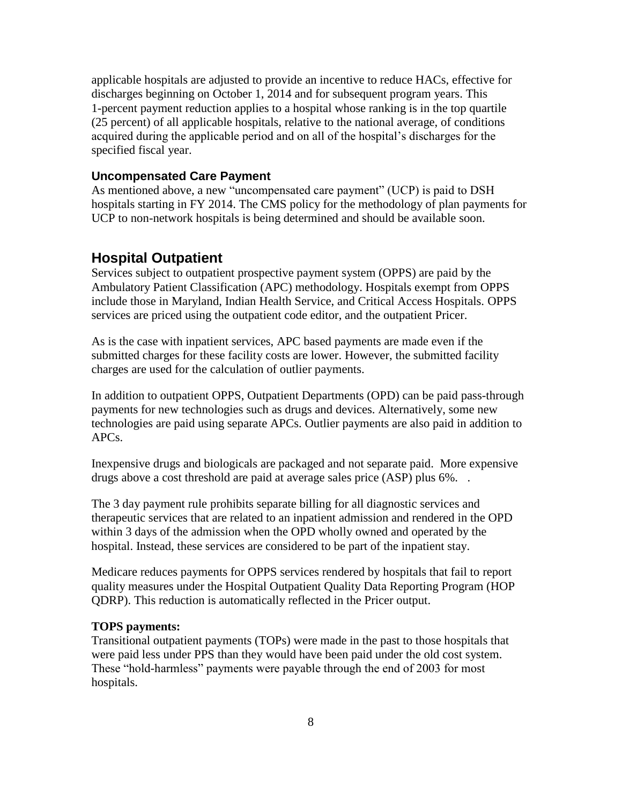applicable hospitals are adjusted to provide an incentive to reduce HACs, effective for discharges beginning on October 1, 2014 and for subsequent program years. This 1-percent payment reduction applies to a hospital whose ranking is in the top quartile (25 percent) of all applicable hospitals, relative to the national average, of conditions acquired during the applicable period and on all of the hospital's discharges for the specified fiscal year.

#### **Uncompensated Care Payment**

As mentioned above, a new "uncompensated care payment" (UCP) is paid to DSH hospitals starting in FY 2014. The CMS policy for the methodology of plan payments for UCP to non-network hospitals is being determined and should be available soon.

### <span id="page-7-0"></span>**Hospital Outpatient**

Services subject to outpatient prospective payment system (OPPS) are paid by the Ambulatory Patient Classification (APC) methodology. Hospitals exempt from OPPS include those in Maryland, Indian Health Service, and Critical Access Hospitals. OPPS services are priced using the outpatient code editor, and the outpatient Pricer.

As is the case with inpatient services, APC based payments are made even if the submitted charges for these facility costs are lower. However, the submitted facility charges are used for the calculation of outlier payments.

In addition to outpatient OPPS, Outpatient Departments (OPD) can be paid pass-through payments for new technologies such as drugs and devices. Alternatively, some new technologies are paid using separate APCs. Outlier payments are also paid in addition to APCs.

Inexpensive drugs and biologicals are packaged and not separate paid. More expensive drugs above a cost threshold are paid at average sales price (ASP) plus 6%. .

The 3 day payment rule prohibits separate billing for all diagnostic services and therapeutic services that are related to an inpatient admission and rendered in the OPD within 3 days of the admission when the OPD wholly owned and operated by the hospital. Instead, these services are considered to be part of the inpatient stay.

Medicare reduces payments for OPPS services rendered by hospitals that fail to report quality measures under the Hospital Outpatient Quality Data Reporting Program (HOP QDRP). This reduction is automatically reflected in the Pricer output.

#### **TOPS payments:**

Transitional outpatient payments (TOPs) were made in the past to those hospitals that were paid less under PPS than they would have been paid under the old cost system. These "hold-harmless" payments were payable through the end of 2003 for most hospitals.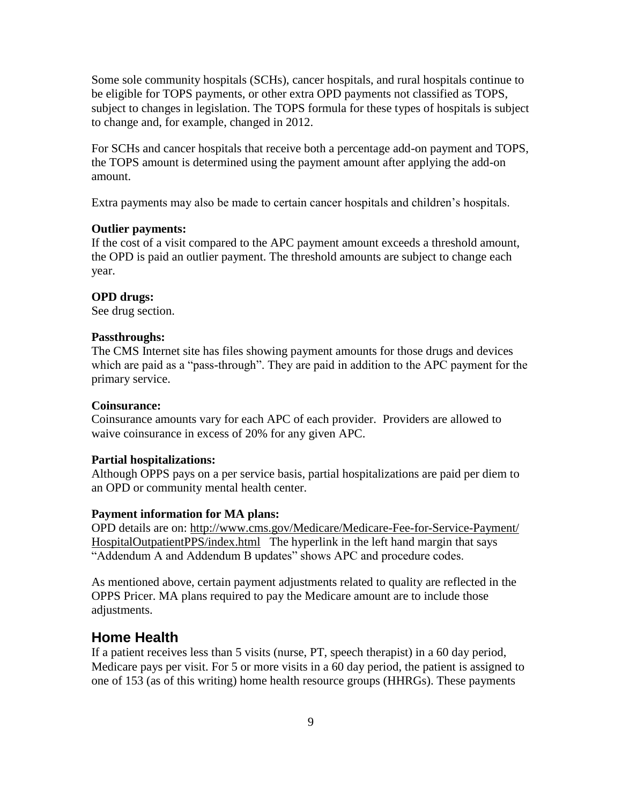Some sole community hospitals (SCHs), cancer hospitals, and rural hospitals continue to be eligible for TOPS payments, or other extra OPD payments not classified as TOPS, subject to changes in legislation. The TOPS formula for these types of hospitals is subject to change and, for example, changed in 2012.

For SCHs and cancer hospitals that receive both a percentage add-on payment and TOPS, the TOPS amount is determined using the payment amount after applying the add-on amount.

Extra payments may also be made to certain cancer hospitals and children's hospitals.

#### **Outlier payments:**

If the cost of a visit compared to the APC payment amount exceeds a threshold amount, the OPD is paid an outlier payment. The threshold amounts are subject to change each year.

#### **OPD drugs:**

See drug section.

#### **Passthroughs:**

The CMS Internet site has files showing payment amounts for those drugs and devices which are paid as a "pass-through". They are paid in addition to the APC payment for the primary service.

#### **Coinsurance:**

Coinsurance amounts vary for each APC of each provider. Providers are allowed to waive coinsurance in excess of 20% for any given APC.

#### **Partial hospitalizations:**

Although OPPS pays on a per service basis, partial hospitalizations are paid per diem to an OPD or community mental health center.

#### **Payment information for MA plans:**

OPD details are on: [http://www.cms.gov/Medicare/Medicare-Fee-for-Service-Payment/](http://www.cms.gov/Medicare/Medicare-Fee-for-Service-Payment/HospitalOutpatientPPS/index.html) [HospitalOutpatientPPS/index.html](http://www.cms.gov/Medicare/Medicare-Fee-for-Service-Payment/HospitalOutpatientPPS/index.html) The hyperlink in the left hand margin that says "Addendum A and Addendum B updates" shows APC and procedure codes.

As mentioned above, certain payment adjustments related to quality are reflected in the OPPS Pricer. MA plans required to pay the Medicare amount are to include those adjustments.

#### <span id="page-8-0"></span>**Home Health**

If a patient receives less than 5 visits (nurse, PT, speech therapist) in a 60 day period, Medicare pays per visit. For 5 or more visits in a 60 day period, the patient is assigned to one of 153 (as of this writing) home health resource groups (HHRGs). These payments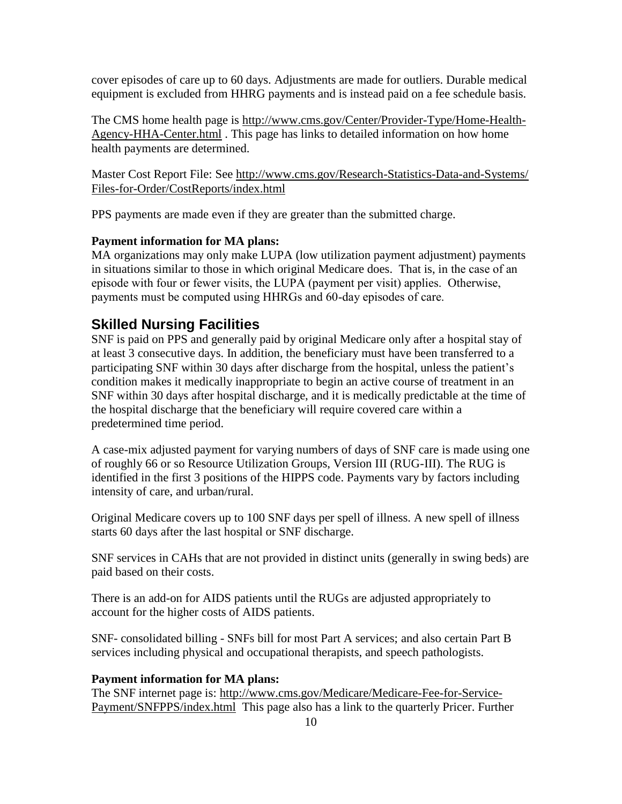cover episodes of care up to 60 days. Adjustments are made for outliers. Durable medical equipment is excluded from HHRG payments and is instead paid on a fee schedule basis.

The CMS home health page is [http://www.cms.gov/Center/Provider-Type/Home-Health-](http://www.cms.gov/Center/Provider-Type/Home-Health-Agency-HHA-Center.html)[Agency-HHA-Center.html](http://www.cms.gov/Center/Provider-Type/Home-Health-Agency-HHA-Center.html) . This page has links to detailed information on how home health payments are determined.

Master Cost Report File: See [http://www.cms.gov/Research-Statistics-Data-and-Systems/](http://www.cms.gov/Research-Statistics-Data-and-Systems/Files-for-Order/CostReports/index.html) [Files-for-Order/CostReports/index.html](http://www.cms.gov/Research-Statistics-Data-and-Systems/Files-for-Order/CostReports/index.html)

PPS payments are made even if they are greater than the submitted charge.

### **Payment information for MA plans:**

MA organizations may only make LUPA (low utilization payment adjustment) payments in situations similar to those in which original Medicare does. That is, in the case of an episode with four or fewer visits, the LUPA (payment per visit) applies. Otherwise, payments must be computed using HHRGs and 60-day episodes of care.

# <span id="page-9-0"></span>**Skilled Nursing Facilities**

SNF is paid on PPS and generally paid by original Medicare only after a hospital stay of at least 3 consecutive days. In addition, the beneficiary must have been transferred to a participating SNF within 30 days after discharge from the hospital, unless the patient's condition makes it medically inappropriate to begin an active course of treatment in an SNF within 30 days after hospital discharge, and it is medically predictable at the time of the hospital discharge that the beneficiary will require covered care within a predetermined time period.

A case-mix adjusted payment for varying numbers of days of SNF care is made using one of roughly 66 or so Resource Utilization Groups, Version III (RUG-III). The RUG is identified in the first 3 positions of the HIPPS code. Payments vary by factors including intensity of care, and urban/rural.

Original Medicare covers up to 100 SNF days per spell of illness. A new spell of illness starts 60 days after the last hospital or SNF discharge.

SNF services in CAHs that are not provided in distinct units (generally in swing beds) are paid based on their costs.

There is an add-on for AIDS patients until the RUGs are adjusted appropriately to account for the higher costs of AIDS patients.

SNF- consolidated billing - SNFs bill for most Part A services; and also certain Part B services including physical and occupational therapists, and speech pathologists.

#### **Payment information for MA plans:**

The SNF internet page is: [http://www.cms.gov/Medicare/Medicare-Fee-for-Service-](http://www.cms.gov/Medicare/Medicare-Fee-for-Service-Payment/SNFPPS/index.html)[Payment/SNFPPS/index.html](http://www.cms.gov/Medicare/Medicare-Fee-for-Service-Payment/SNFPPS/index.html) This page also has a link to the quarterly Pricer. Further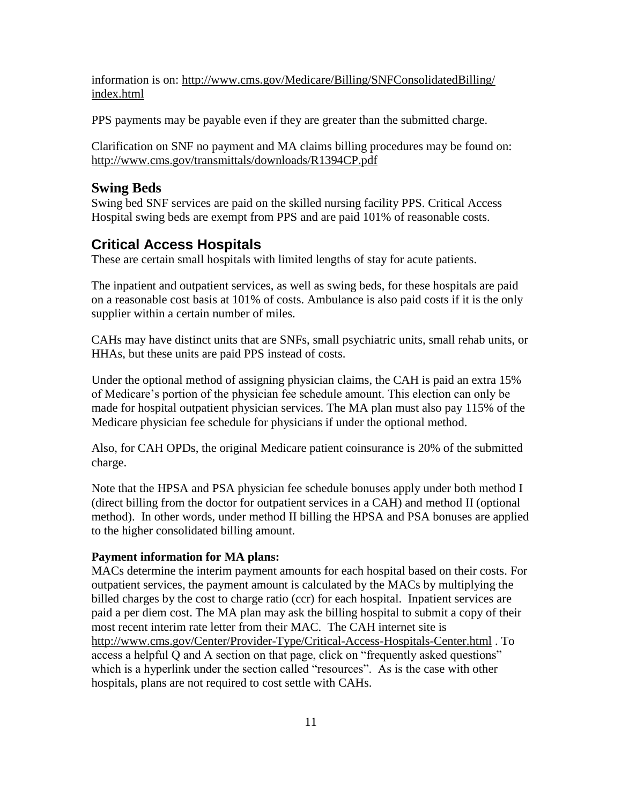information is on: [http://www.cms.gov/Medicare/Billing/SNFConsolidatedBilling/](http://www.cms.gov/Medicare/Billing/SNFConsolidatedBilling/index.html) [index.html](http://www.cms.gov/Medicare/Billing/SNFConsolidatedBilling/index.html)

PPS payments may be payable even if they are greater than the submitted charge.

Clarification on SNF no payment and MA claims billing procedures may be found on: [http://www.cms.gov/transmittals/downloads/R1394CP.pdf](http://www.cms.hhs.gov/transmittals/downloads/R1394CP.pdf)

#### **Swing Beds**

Swing bed SNF services are paid on the skilled nursing facility PPS. Critical Access Hospital swing beds are exempt from PPS and are paid 101% of reasonable costs.

### <span id="page-10-0"></span>**Critical Access Hospitals**

These are certain small hospitals with limited lengths of stay for acute patients.

The inpatient and outpatient services, as well as swing beds, for these hospitals are paid on a reasonable cost basis at 101% of costs. Ambulance is also paid costs if it is the only supplier within a certain number of miles.

CAHs may have distinct units that are SNFs, small psychiatric units, small rehab units, or HHAs, but these units are paid PPS instead of costs.

Under the optional method of assigning physician claims, the CAH is paid an extra 15% of Medicare's portion of the physician fee schedule amount. This election can only be made for hospital outpatient physician services. The MA plan must also pay 115% of the Medicare physician fee schedule for physicians if under the optional method.

Also, for CAH OPDs, the original Medicare patient coinsurance is 20% of the submitted charge.

Note that the HPSA and PSA physician fee schedule bonuses apply under both method I (direct billing from the doctor for outpatient services in a CAH) and method II (optional method). In other words, under method II billing the HPSA and PSA bonuses are applied to the higher consolidated billing amount.

#### **Payment information for MA plans:**

MACs determine the interim payment amounts for each hospital based on their costs. For outpatient services, the payment amount is calculated by the MACs by multiplying the billed charges by the cost to charge ratio (ccr) for each hospital. Inpatient services are paid a per diem cost. The MA plan may ask the billing hospital to submit a copy of their most recent interim rate letter from their MAC. The CAH internet site is <http://www.cms.gov/Center/Provider-Type/Critical-Access-Hospitals-Center.html> . To access a helpful Q and A section on that page, click on "frequently asked questions" which is a hyperlink under the section called "resources". As is the case with other hospitals, plans are not required to cost settle with CAHs.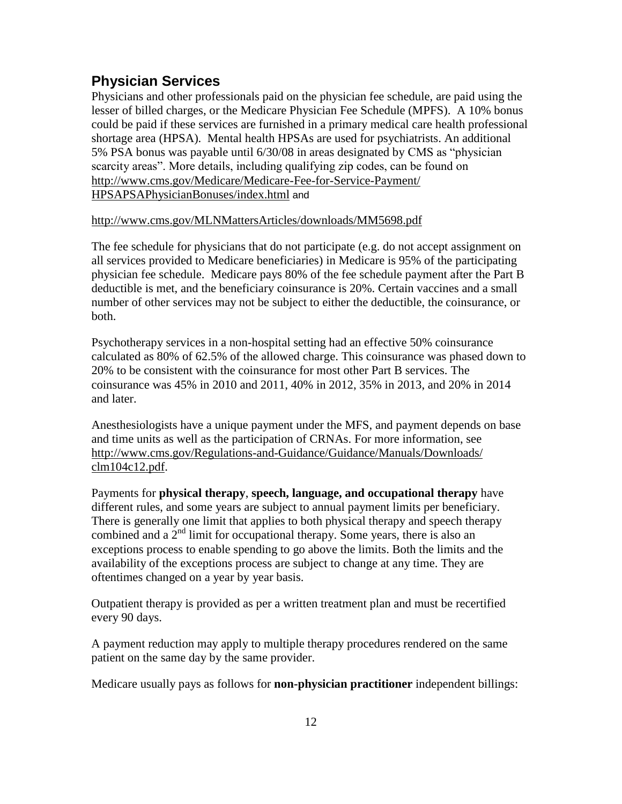# <span id="page-11-0"></span>**Physician Services**

Physicians and other professionals paid on the physician fee schedule, are paid using the lesser of billed charges, or the Medicare Physician Fee Schedule (MPFS). A 10% bonus could be paid if these services are furnished in a primary medical care health professional shortage area (HPSA). Mental health HPSAs are used for psychiatrists. An additional 5% PSA bonus was payable until 6/30/08 in areas designated by CMS as "physician scarcity areas". More details, including qualifying zip codes, can be found on [http://www.cms.gov/Medicare/Medicare-Fee-for-Service-Payment/](http://www.cms.gov/Medicare/Medicare-Fee-for-Service-Payment/HPSAPSAPhysicianBonuses/index.html)

[HPSAPSAPhysicianBonuses/index.html](http://www.cms.gov/Medicare/Medicare-Fee-for-Service-Payment/HPSAPSAPhysicianBonuses/index.html) and

#### [http://www.cms.gov/MLNMattersArticles/downloads/MM5698.pdf](http://www.cms.hhs.gov/MLNMattersArticles/downloads/MM5698.pdf)

The fee schedule for physicians that do not participate (e.g. do not accept assignment on all services provided to Medicare beneficiaries) in Medicare is 95% of the participating physician fee schedule. Medicare pays 80% of the fee schedule payment after the Part B deductible is met, and the beneficiary coinsurance is 20%. Certain vaccines and a small number of other services may not be subject to either the deductible, the coinsurance, or both.

Psychotherapy services in a non-hospital setting had an effective 50% coinsurance calculated as 80% of 62.5% of the allowed charge. This coinsurance was phased down to 20% to be consistent with the coinsurance for most other Part B services. The coinsurance was 45% in 2010 and 2011, 40% in 2012, 35% in 2013, and 20% in 2014 and later.

Anesthesiologists have a unique payment under the MFS, and payment depends on base and time units as well as the participation of CRNAs. For more information, see [http://www.cms.gov/Regulations-and-Guidance/Guidance/Manuals/Downloads/](http://www.cms.gov/Regulations-and-Guidance/Guidance/Manuals/Downloads/clm104c12.pdf) [clm104c12.pdf.](http://www.cms.gov/Regulations-and-Guidance/Guidance/Manuals/Downloads/clm104c12.pdf)

Payments for **physical therapy**, **speech, language, and occupational therapy** have different rules, and some years are subject to annual payment limits per beneficiary. There is generally one limit that applies to both physical therapy and speech therapy combined and a  $2<sup>nd</sup>$  limit for occupational therapy. Some years, there is also an exceptions process to enable spending to go above the limits. Both the limits and the availability of the exceptions process are subject to change at any time. They are oftentimes changed on a year by year basis.

Outpatient therapy is provided as per a written treatment plan and must be recertified every 90 days.

A payment reduction may apply to multiple therapy procedures rendered on the same patient on the same day by the same provider.

Medicare usually pays as follows for **non-physician practitioner** independent billings: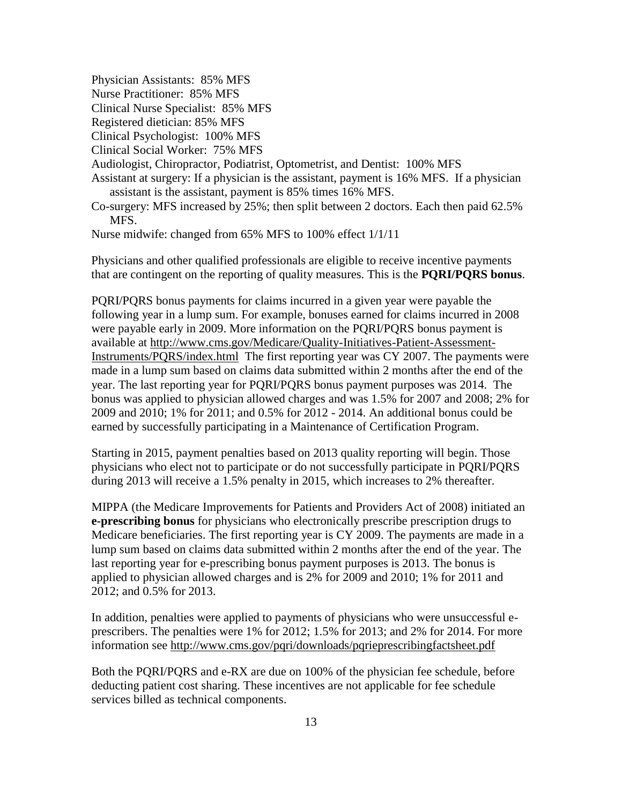Physician Assistants: 85% MFS

Nurse Practitioner: 85% MFS

Clinical Nurse Specialist: 85% MFS

Registered dietician: 85% MFS

Clinical Psychologist: 100% MFS

Clinical Social Worker: 75% MFS

Audiologist, Chiropractor, Podiatrist, Optometrist, and Dentist: 100% MFS

- Assistant at surgery: If a physician is the assistant, payment is 16% MFS. If a physician assistant is the assistant, payment is 85% times 16% MFS.
- Co-surgery: MFS increased by 25%; then split between 2 doctors. Each then paid 62.5% MFS.

Nurse midwife: changed from 65% MFS to 100% effect 1/1/11

Physicians and other qualified professionals are eligible to receive incentive payments that are contingent on the reporting of quality measures. This is the **PQRI/PQRS bonus**.

PQRI/PQRS bonus payments for claims incurred in a given year were payable the following year in a lump sum. For example, bonuses earned for claims incurred in 2008 were payable early in 2009. More information on the PQRI/PQRS bonus payment is available at [http://www.cms.gov/Medicare/Quality-Initiatives-Patient-Assessment-](http://www.cms.gov/Medicare/Quality-Initiatives-Patient-Assessment-Instruments/PQRS/index.html)[Instruments/PQRS/index.html](http://www.cms.gov/Medicare/Quality-Initiatives-Patient-Assessment-Instruments/PQRS/index.html) The first reporting year was CY 2007. The payments were made in a lump sum based on claims data submitted within 2 months after the end of the year. The last reporting year for PQRI/PQRS bonus payment purposes was 2014. The bonus was applied to physician allowed charges and was 1.5% for 2007 and 2008; 2% for 2009 and 2010; 1% for 2011; and 0.5% for 2012 - 2014. An additional bonus could be earned by successfully participating in a Maintenance of Certification Program.

Starting in 2015, payment penalties based on 2013 quality reporting will begin. Those physicians who elect not to participate or do not successfully participate in PQRI/PQRS during 2013 will receive a 1.5% penalty in 2015, which increases to 2% thereafter.

MIPPA (the Medicare Improvements for Patients and Providers Act of 2008) initiated an **e-prescribing bonus** for physicians who electronically prescribe prescription drugs to Medicare beneficiaries. The first reporting year is CY 2009. The payments are made in a lump sum based on claims data submitted within 2 months after the end of the year. The last reporting year for e-prescribing bonus payment purposes is 2013. The bonus is applied to physician allowed charges and is 2% for 2009 and 2010; 1% for 2011 and 2012; and 0.5% for 2013.

In addition, penalties were applied to payments of physicians who were unsuccessful eprescribers. The penalties were 1% for 2012; 1.5% for 2013; and 2% for 2014. For more information see [http://www.cms.gov/pqri/downloads/pqrieprescribingfactsheet.pdf](http://www.cms.hhs.gov/pqri/downloads/pqrieprescribingfactsheet.pdf)

Both the PQRI/PQRS and e-RX are due on 100% of the physician fee schedule, before deducting patient cost sharing. These incentives are not applicable for fee schedule services billed as technical components.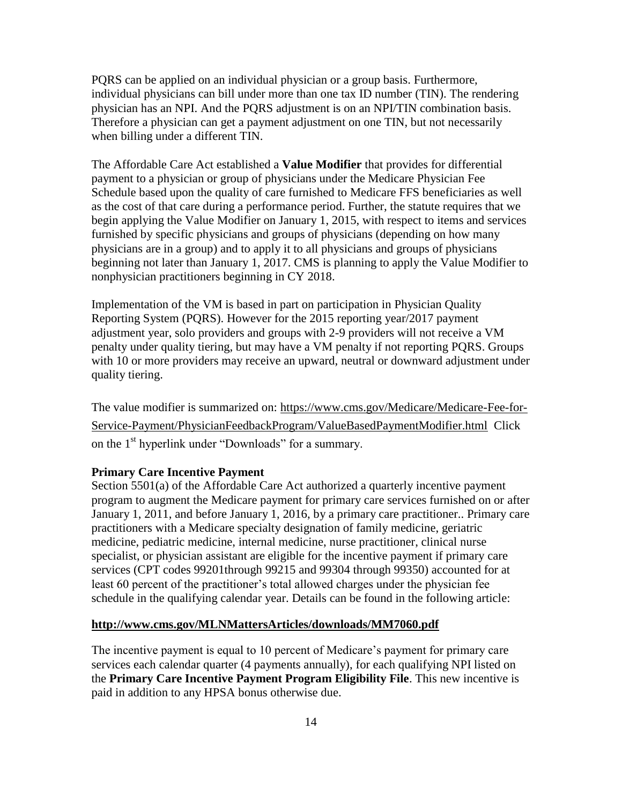PQRS can be applied on an individual physician or a group basis. Furthermore, individual physicians can bill under more than one tax ID number (TIN). The rendering physician has an NPI. And the PQRS adjustment is on an NPI/TIN combination basis. Therefore a physician can get a payment adjustment on one TIN, but not necessarily when billing under a different TIN.

The Affordable Care Act established a **Value Modifier** that provides for differential payment to a physician or group of physicians under the Medicare Physician Fee Schedule based upon the quality of care furnished to Medicare FFS beneficiaries as well as the cost of that care during a performance period. Further, the statute requires that we begin applying the Value Modifier on January 1, 2015, with respect to items and services furnished by specific physicians and groups of physicians (depending on how many physicians are in a group) and to apply it to all physicians and groups of physicians beginning not later than January 1, 2017. CMS is planning to apply the Value Modifier to nonphysician practitioners beginning in CY 2018.

Implementation of the VM is based in part on participation in [Physician Quality](http://www.acr.org/Quality-Safety/Quality-Measurement/PQRS)  [Reporting System \(PQRS\).](http://www.acr.org/Quality-Safety/Quality-Measurement/PQRS) However for the 2015 reporting year/2017 payment adjustment year, solo providers and groups with 2-9 providers will not receive a VM penalty under quality tiering, but may have a VM penalty if not reporting PQRS. Groups with 10 or more providers may receive an upward, neutral or downward adjustment under quality tiering.

The value modifier is summarized on: [https://www.cms.gov/Medicare/Medicare-Fee-for-](https://www.cms.gov/Medicare/Medicare-Fee-for-Service-Payment/PhysicianFeedbackProgram/ValueBasedPaymentModifier.html)[Service-Payment/PhysicianFeedbackProgram/ValueBasedPaymentModifier.html](https://www.cms.gov/Medicare/Medicare-Fee-for-Service-Payment/PhysicianFeedbackProgram/ValueBasedPaymentModifier.html) Click on the 1<sup>st</sup> hyperlink under "Downloads" for a summary.

#### **Primary Care Incentive Payment**

Section 5501(a) of the Affordable Care Act authorized a quarterly incentive payment program to augment the Medicare payment for primary care services furnished on or after January 1, 2011, and before January 1, 2016, by a primary care practitioner.. Primary care practitioners with a Medicare specialty designation of family medicine, geriatric medicine, pediatric medicine, internal medicine, nurse practitioner, clinical nurse specialist, or physician assistant are eligible for the incentive payment if primary care services (CPT codes 99201through 99215 and 99304 through 99350) accounted for at least 60 percent of the practitioner's total allowed charges under the physician fee schedule in the qualifying calendar year. Details can be found in the following article:

#### **<http://www.cms.gov/MLNMattersArticles/downloads/MM7060.pdf>**

The incentive payment is equal to 10 percent of Medicare's payment for primary care services each calendar quarter (4 payments annually), for each qualifying NPI listed on the **Primary Care Incentive Payment Program Eligibility File**. This new incentive is paid in addition to any HPSA bonus otherwise due.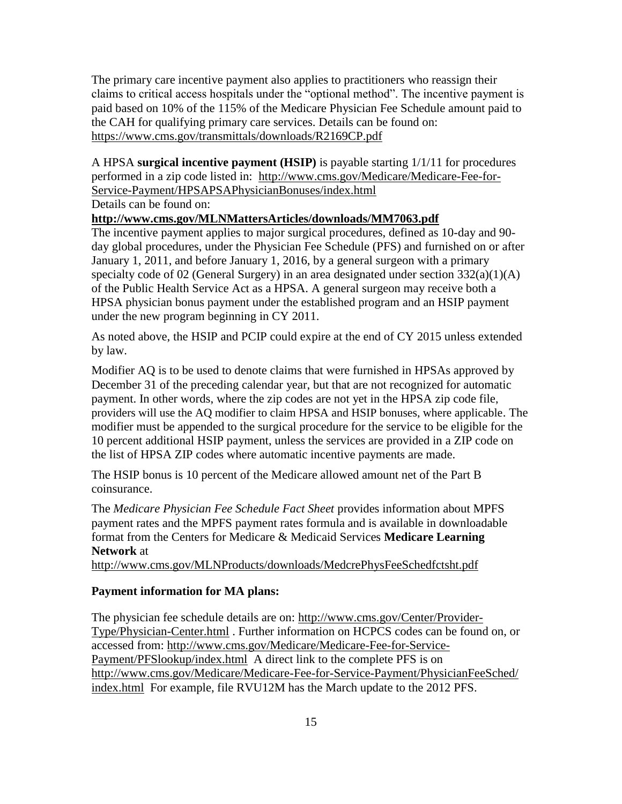The primary care incentive payment also applies to practitioners who reassign their claims to critical access hospitals under the "optional method". The incentive payment is paid based on 10% of the 115% of the Medicare Physician Fee Schedule amount paid to the CAH for qualifying primary care services. Details can be found on: <https://www.cms.gov/transmittals/downloads/R2169CP.pdf>

A HPSA **surgical incentive payment (HSIP)** is payable starting 1/1/11 for procedures performed in a zip code listed in: [http://www.cms.gov/Medicare/Medicare-Fee-for-](http://www.cms.gov/Medicare/Medicare-Fee-for-Service-Payment/HPSAPSAPhysicianBonuses/index.html)[Service-Payment/HPSAPSAPhysicianBonuses/index.html](http://www.cms.gov/Medicare/Medicare-Fee-for-Service-Payment/HPSAPSAPhysicianBonuses/index.html)

Details can be found on:

#### **<http://www.cms.gov/MLNMattersArticles/downloads/MM7063.pdf>**

The incentive payment applies to major surgical procedures, defined as 10-day and 90 day global procedures, under the Physician Fee Schedule (PFS) and furnished on or after January 1, 2011, and before January 1, 2016, by a general surgeon with a primary specialty code of 02 (General Surgery) in an area designated under section  $332(a)(1)(A)$ of the Public Health Service Act as a HPSA. A general surgeon may receive both a HPSA physician bonus payment under the established program and an HSIP payment under the new program beginning in CY 2011.

As noted above, the HSIP and PCIP could expire at the end of CY 2015 unless extended by law.

Modifier AQ is to be used to denote claims that were furnished in HPSAs approved by December 31 of the preceding calendar year, but that are not recognized for automatic payment. In other words, where the zip codes are not yet in the HPSA zip code file, providers will use the AQ modifier to claim HPSA and HSIP bonuses, where applicable. The modifier must be appended to the surgical procedure for the service to be eligible for the 10 percent additional HSIP payment, unless the services are provided in a ZIP code on the list of HPSA ZIP codes where automatic incentive payments are made.

The HSIP bonus is 10 percent of the Medicare allowed amount net of the Part B coinsurance.

The *Medicare Physician Fee Schedule Fact Sheet* provides information about MPFS payment rates and the MPFS payment rates formula and is available in downloadable format from the Centers for Medicare & Medicaid Services **Medicare Learning Network** at

[http://www.cms.gov/MLNProducts/downloads/MedcrePhysFeeSchedfctsht.pdf](http://www.cms.hhs.gov/MLNProducts/downloads/MedcrePhysFeeSchedfctsht.pdf)

### **Payment information for MA plans:**

The physician fee schedule details are on: [http://www.cms.gov/Center/Provider-](http://www.cms.gov/Center/Provider-Type/Physician-Center.html)[Type/Physician-Center.html](http://www.cms.gov/Center/Provider-Type/Physician-Center.html) . Further information on HCPCS codes can be found on, or accessed from: [http://www.cms.gov/Medicare/Medicare-Fee-for-Service-](http://www.cms.gov/Medicare/Medicare-Fee-for-Service-Payment/PFSlookup/index.html)[Payment/PFSlookup/index.html](http://www.cms.gov/Medicare/Medicare-Fee-for-Service-Payment/PFSlookup/index.html) A direct link to the complete PFS is on [http://www.cms.gov/Medicare/Medicare-Fee-for-Service-Payment/PhysicianFeeSched/](http://www.cms.gov/Medicare/Medicare-Fee-for-Service-Payment/PhysicianFeeSched/index.html) [index.html](http://www.cms.gov/Medicare/Medicare-Fee-for-Service-Payment/PhysicianFeeSched/index.html) For example, file RVU12M has the March update to the 2012 PFS.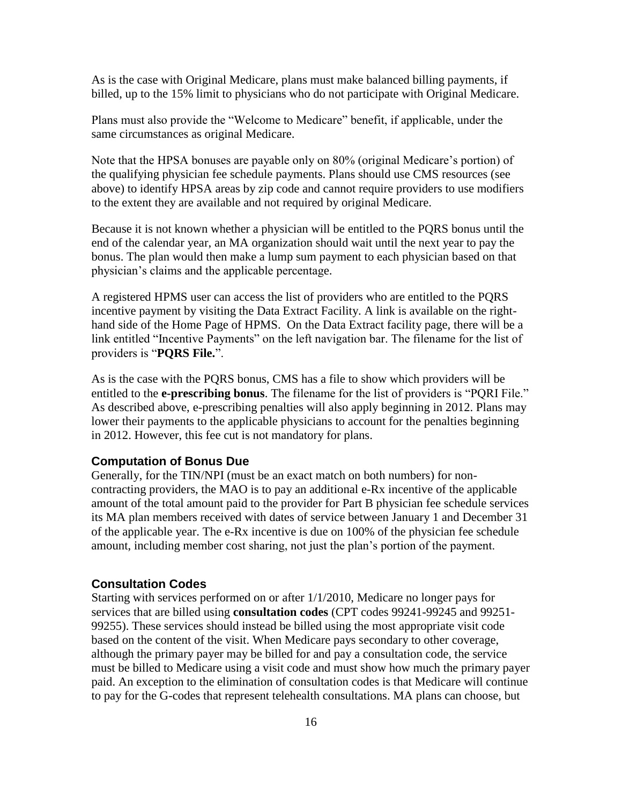As is the case with Original Medicare, plans must make balanced billing payments, if billed, up to the 15% limit to physicians who do not participate with Original Medicare.

Plans must also provide the "Welcome to Medicare" benefit, if applicable, under the same circumstances as original Medicare.

Note that the HPSA bonuses are payable only on 80% (original Medicare's portion) of the qualifying physician fee schedule payments. Plans should use CMS resources (see above) to identify HPSA areas by zip code and cannot require providers to use modifiers to the extent they are available and not required by original Medicare.

Because it is not known whether a physician will be entitled to the PQRS bonus until the end of the calendar year, an MA organization should wait until the next year to pay the bonus. The plan would then make a lump sum payment to each physician based on that physician's claims and the applicable percentage.

A registered HPMS user can access the list of providers who are entitled to the PQRS incentive payment by visiting the Data Extract Facility. A link is available on the righthand side of the Home Page of HPMS. On the Data Extract facility page, there will be a link entitled "Incentive Payments" on the left navigation bar. The filename for the list of providers is "**PQRS File.**".

As is the case with the PQRS bonus, CMS has a file to show which providers will be entitled to the **e-prescribing bonus**. The filename for the list of providers is "PQRI File." As described above, e-prescribing penalties will also apply beginning in 2012. Plans may lower their payments to the applicable physicians to account for the penalties beginning in 2012. However, this fee cut is not mandatory for plans.

#### **Computation of Bonus Due**

Generally, for the TIN/NPI (must be an exact match on both numbers) for noncontracting providers, the MAO is to pay an additional e-Rx incentive of the applicable amount of the total amount paid to the provider for Part B physician fee schedule services its MA plan members received with dates of service between January 1 and December 31 of the applicable year. The e-Rx incentive is due on 100% of the physician fee schedule amount, including member cost sharing, not just the plan's portion of the payment.

#### **Consultation Codes**

Starting with services performed on or after 1/1/2010, Medicare no longer pays for services that are billed using **consultation codes** (CPT codes 99241-99245 and 99251- 99255). These services should instead be billed using the most appropriate visit code based on the content of the visit. When Medicare pays secondary to other coverage, although the primary payer may be billed for and pay a consultation code, the service must be billed to Medicare using a visit code and must show how much the primary payer paid. An exception to the elimination of consultation codes is that Medicare will continue to pay for the G-codes that represent telehealth consultations. MA plans can choose, but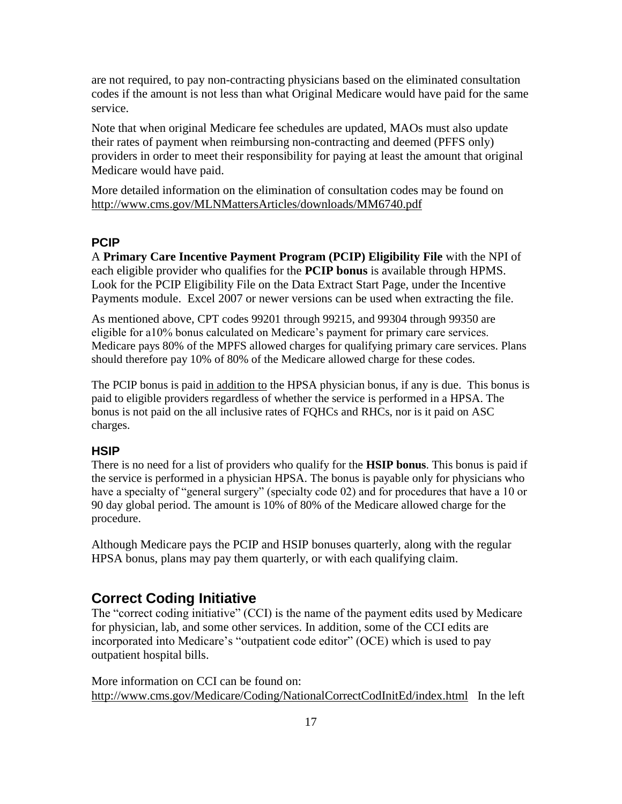are not required, to pay non-contracting physicians based on the eliminated consultation codes if the amount is not less than what Original Medicare would have paid for the same service.

Note that when original Medicare fee schedules are updated, MAOs must also update their rates of payment when reimbursing non-contracting and deemed (PFFS only) providers in order to meet their responsibility for paying at least the amount that original Medicare would have paid.

More detailed information on the elimination of consultation codes may be found on [http://www.cms.gov/MLNMattersArticles/downloads/MM6740.pdf](http://www.cms.hhs.gov/MLNMattersArticles/downloads/MM6740.pdf)

### **PCIP**

A **Primary Care Incentive Payment Program (PCIP) Eligibility File** with the NPI of each eligible provider who qualifies for the **PCIP bonus** is available through HPMS. Look for the PCIP Eligibility File on the Data Extract Start Page, under the Incentive Payments module. Excel 2007 or newer versions can be used when extracting the file.

As mentioned above, CPT codes 99201 through 99215, and 99304 through 99350 are eligible for a10% bonus calculated on Medicare's payment for primary care services. Medicare pays 80% of the MPFS allowed charges for qualifying primary care services. Plans should therefore pay 10% of 80% of the Medicare allowed charge for these codes.

The PCIP bonus is paid in addition to the HPSA physician bonus, if any is due. This bonus is paid to eligible providers regardless of whether the service is performed in a HPSA. The bonus is not paid on the all inclusive rates of FQHCs and RHCs, nor is it paid on ASC charges.

#### **HSIP**

There is no need for a list of providers who qualify for the **HSIP bonus**. This bonus is paid if the service is performed in a physician HPSA. The bonus is payable only for physicians who have a specialty of "general surgery" (specialty code 02) and for procedures that have a 10 or 90 day global period. The amount is 10% of 80% of the Medicare allowed charge for the procedure.

Although Medicare pays the PCIP and HSIP bonuses quarterly, along with the regular HPSA bonus, plans may pay them quarterly, or with each qualifying claim.

### <span id="page-16-0"></span>**Correct Coding Initiative**

The "correct coding initiative" (CCI) is the name of the payment edits used by Medicare for physician, lab, and some other services. In addition, some of the CCI edits are incorporated into Medicare's "outpatient code editor" (OCE) which is used to pay outpatient hospital bills.

More information on CCI can be found on: <http://www.cms.gov/Medicare/Coding/NationalCorrectCodInitEd/index.html>In the left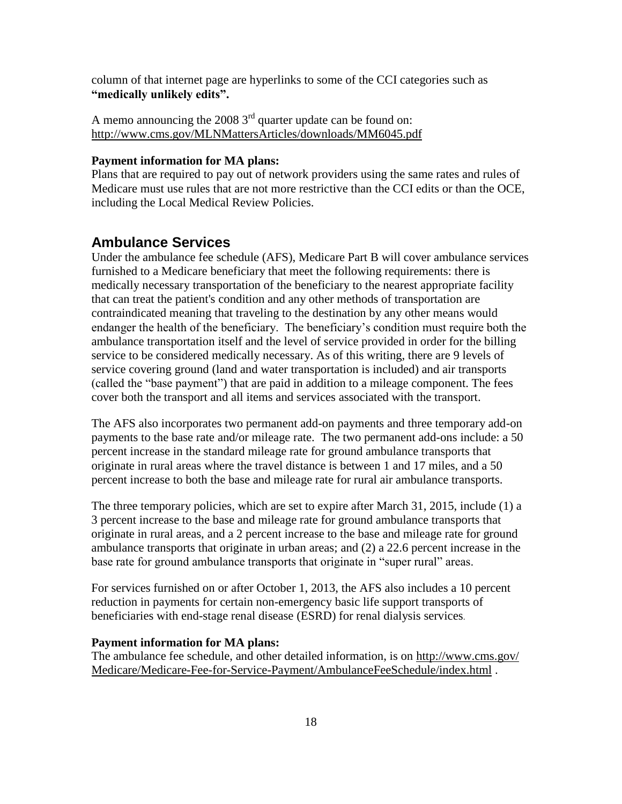column of that internet page are hyperlinks to some of the CCI categories such as **"medically unlikely edits".**

A memo announcing the 2008  $3<sup>rd</sup>$  quarter update can be found on: [http://www.cms.gov/MLNMattersArticles/downloads/MM6045.pdf](http://www.cms.hhs.gov/MLNMattersArticles/downloads/MM6045.pdf)

#### **Payment information for MA plans:**

Plans that are required to pay out of network providers using the same rates and rules of Medicare must use rules that are not more restrictive than the CCI edits or than the OCE, including the Local Medical Review Policies.

### <span id="page-17-0"></span>**Ambulance Services**

Under the ambulance fee schedule (AFS), Medicare Part B will cover ambulance services furnished to a Medicare beneficiary that meet the following requirements: there is medically necessary transportation of the beneficiary to the nearest appropriate facility that can treat the patient's condition and any other methods of transportation are contraindicated meaning that traveling to the destination by any other means would endanger the health of the beneficiary. The beneficiary's condition must require both the ambulance transportation itself and the level of service provided in order for the billing service to be considered medically necessary. As of this writing, there are 9 levels of service covering ground (land and water transportation is included) and air transports (called the "base payment") that are paid in addition to a mileage component. The fees cover both the transport and all items and services associated with the transport.

The AFS also incorporates two permanent add-on payments and three temporary add-on payments to the base rate and/or mileage rate. The two permanent add-ons include: a 50 percent increase in the standard mileage rate for ground ambulance transports that originate in rural areas where the travel distance is between 1 and 17 miles, and a 50 percent increase to both the base and mileage rate for rural air ambulance transports.

The three temporary policies, which are set to expire after March 31, 2015, include (1) a 3 percent increase to the base and mileage rate for ground ambulance transports that originate in rural areas, and a 2 percent increase to the base and mileage rate for ground ambulance transports that originate in urban areas; and (2) a 22.6 percent increase in the base rate for ground ambulance transports that originate in "super rural" areas.

For services furnished on or after October 1, 2013, the AFS also includes a 10 percent reduction in payments for certain non-emergency basic life support transports of beneficiaries with end-stage renal disease (ESRD) for renal dialysis services.

#### **Payment information for MA plans:**

The ambulance fee schedule, and other detailed information, is on [http://www.cms.gov/](http://www.cms.gov/Medicare/Medicare-Fee-for-Service-Payment/AmbulanceFeeSchedule/index.html) [Medicare/Medicare-Fee-for-Service-Payment/AmbulanceFeeSchedule/index.html](http://www.cms.gov/Medicare/Medicare-Fee-for-Service-Payment/AmbulanceFeeSchedule/index.html) .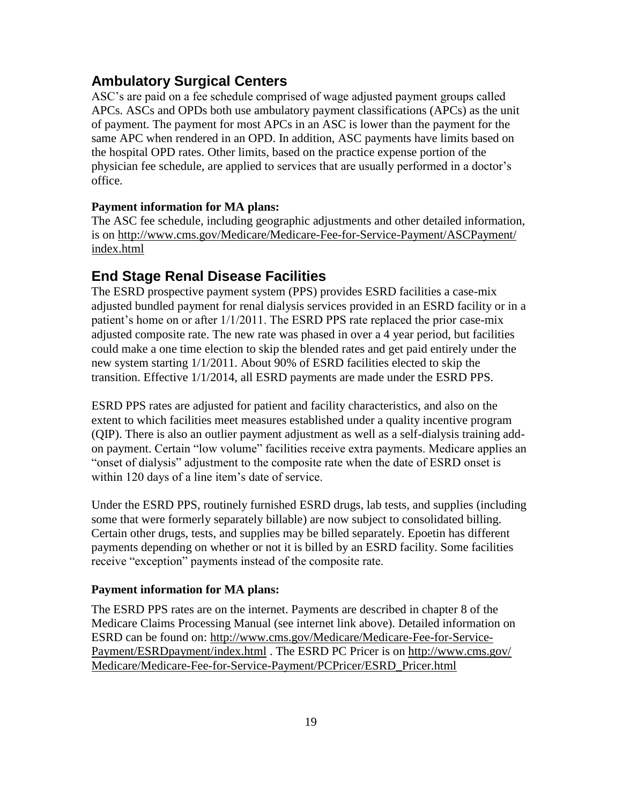## <span id="page-18-0"></span>**Ambulatory Surgical Centers**

ASC's are paid on a fee schedule comprised of wage adjusted payment groups called APCs. ASCs and OPDs both use ambulatory payment classifications (APCs) as the unit of payment. The payment for most APCs in an ASC is lower than the payment for the same APC when rendered in an OPD. In addition, ASC payments have limits based on the hospital OPD rates. Other limits, based on the practice expense portion of the physician fee schedule, are applied to services that are usually performed in a doctor's office.

#### **Payment information for MA plans:**

The ASC fee schedule, including geographic adjustments and other detailed information, is on [http://www.cms.gov/Medicare/Medicare-Fee-for-Service-Payment/ASCPayment/](http://www.cms.gov/Medicare/Medicare-Fee-for-Service-Payment/ASCPayment/index.html) [index.html](http://www.cms.gov/Medicare/Medicare-Fee-for-Service-Payment/ASCPayment/index.html) 

### <span id="page-18-1"></span>**End Stage Renal Disease Facilities**

The ESRD prospective payment system (PPS) provides ESRD facilities a case-mix adjusted bundled payment for renal dialysis services provided in an ESRD facility or in a patient's home on or after 1/1/2011. The ESRD PPS rate replaced the prior case-mix adjusted composite rate. The new rate was phased in over a 4 year period, but facilities could make a one time election to skip the blended rates and get paid entirely under the new system starting 1/1/2011. About 90% of ESRD facilities elected to skip the transition. Effective 1/1/2014, all ESRD payments are made under the ESRD PPS.

ESRD PPS rates are adjusted for patient and facility characteristics, and also on the extent to which facilities meet measures established under a quality incentive program (QIP). There is also an outlier payment adjustment as well as a self-dialysis training addon payment. Certain "low volume" facilities receive extra payments. Medicare applies an "onset of dialysis" adjustment to the composite rate when the date of ESRD onset is within 120 days of a line item's date of service.

Under the ESRD PPS, routinely furnished ESRD drugs, lab tests, and supplies (including some that were formerly separately billable) are now subject to consolidated billing. Certain other drugs, tests, and supplies may be billed separately. Epoetin has different payments depending on whether or not it is billed by an ESRD facility. Some facilities receive "exception" payments instead of the composite rate.

#### **Payment information for MA plans:**

The ESRD PPS rates are on the internet. Payments are described in chapter 8 of the Medicare Claims Processing Manual (see internet link above). Detailed information on ESRD can be found on: [http://www.cms.gov/Medicare/Medicare-Fee-for-Service-](http://www.cms.gov/Medicare/Medicare-Fee-for-Service-Payment/ESRDpayment/index.html)[Payment/ESRDpayment/index.html](http://www.cms.gov/Medicare/Medicare-Fee-for-Service-Payment/ESRDpayment/index.html) . The ESRD PC Pricer is on [http://www.cms.gov/](http://www.cms.gov/Medicare/Medicare-Fee-for-Service-Payment/PCPricer/ESRD_Pricer.html) [Medicare/Medicare-Fee-for-Service-Payment/PCPricer/ESRD\\_Pricer.html](http://www.cms.gov/Medicare/Medicare-Fee-for-Service-Payment/PCPricer/ESRD_Pricer.html)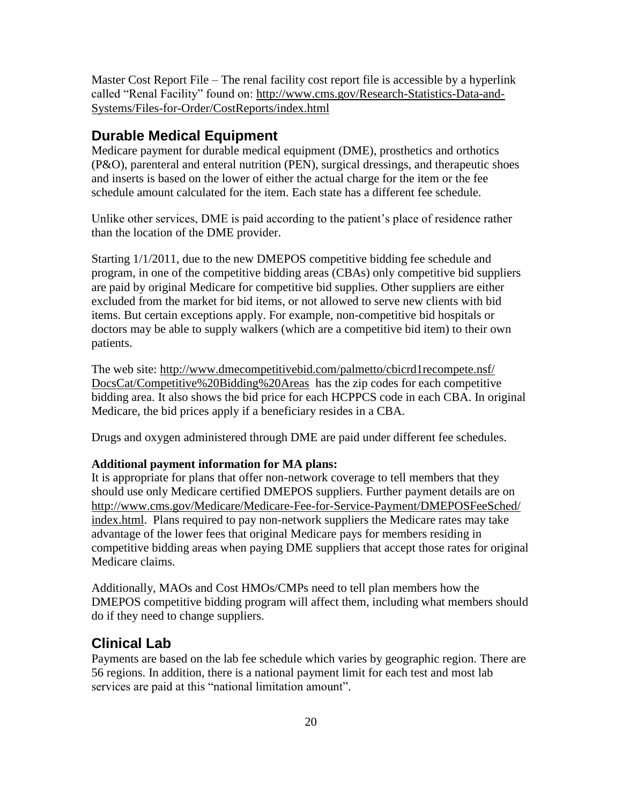Master Cost Report File – The renal facility cost report file is accessible by a hyperlink called "Renal Facility" found on: [http://www.cms.gov/Research-Statistics-Data-and-](http://www.cms.gov/Research-Statistics-Data-and-Systems/Files-for-Order/CostReports/index.html)[Systems/Files-for-Order/CostReports/index.html](http://www.cms.gov/Research-Statistics-Data-and-Systems/Files-for-Order/CostReports/index.html)

## <span id="page-19-0"></span>**Durable Medical Equipment**

Medicare payment for durable medical equipment (DME), prosthetics and orthotics (P&O), parenteral and enteral nutrition (PEN), surgical dressings, and therapeutic shoes and inserts is based on the lower of either the actual charge for the item or the fee schedule amount calculated for the item. Each state has a different fee schedule.

Unlike other services, DME is paid according to the patient's place of residence rather than the location of the DME provider.

Starting 1/1/2011, due to the new DMEPOS competitive bidding fee schedule and program, in one of the competitive bidding areas (CBAs) only competitive bid suppliers are paid by original Medicare for competitive bid supplies. Other suppliers are either excluded from the market for bid items, or not allowed to serve new clients with bid items. But certain exceptions apply. For example, non-competitive bid hospitals or doctors may be able to supply walkers (which are a competitive bid item) to their own patients.

The web site: [http://www.dmecompetitivebid.com/palmetto/cbicrd1recompete.nsf/](http://www.dmecompetitivebid.com/palmetto/cbicrd1recompete.nsf/DocsCat/Competitive%20Bidding%20Areas) [DocsCat/Competitive%20Bidding%20Areas](http://www.dmecompetitivebid.com/palmetto/cbicrd1recompete.nsf/DocsCat/Competitive%20Bidding%20Areas) has the zip codes for each competitive bidding area. It also shows the bid price for each HCPPCS code in each CBA. In original Medicare, the bid prices apply if a beneficiary resides in a CBA.

Drugs and oxygen administered through DME are paid under different fee schedules.

#### **Additional payment information for MA plans:**

It is appropriate for plans that offer non-network coverage to tell members that they should use only Medicare certified DMEPOS suppliers. Further payment details are on [http://www.cms.gov/Medicare/Medicare-Fee-for-Service-Payment/DMEPOSFeeSched/](http://www.cms.gov/Medicare/Medicare-Fee-for-Service-Payment/DMEPOSFeeSched/index.html) [index.html.](http://www.cms.gov/Medicare/Medicare-Fee-for-Service-Payment/DMEPOSFeeSched/index.html) Plans required to pay non-network suppliers the Medicare rates may take advantage of the lower fees that original Medicare pays for members residing in competitive bidding areas when paying DME suppliers that accept those rates for original Medicare claims.

Additionally, MAOs and Cost HMOs/CMPs need to tell plan members how the DMEPOS competitive bidding program will affect them, including what members should do if they need to change suppliers.

### <span id="page-19-1"></span>**Clinical Lab**

Payments are based on the lab fee schedule which varies by geographic region. There are 56 regions. In addition, there is a national payment limit for each test and most lab services are paid at this "national limitation amount".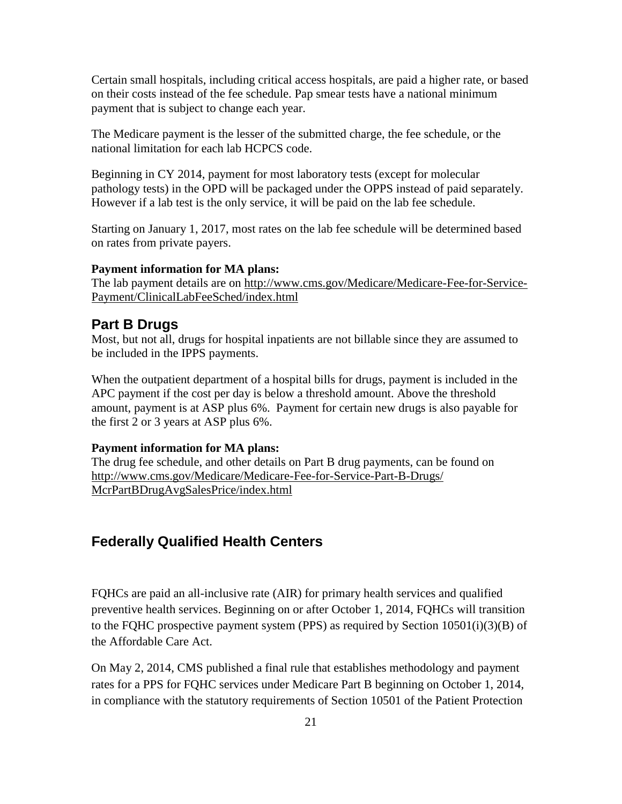Certain small hospitals, including critical access hospitals, are paid a higher rate, or based on their costs instead of the fee schedule. Pap smear tests have a national minimum payment that is subject to change each year.

The Medicare payment is the lesser of the submitted charge, the fee schedule, or the national limitation for each lab HCPCS code.

Beginning in CY 2014, payment for most laboratory tests (except for molecular pathology tests) in the OPD will be packaged under the OPPS instead of paid separately. However if a lab test is the only service, it will be paid on the lab fee schedule.

Starting on January 1, 2017, most rates on the lab fee schedule will be determined based on rates from private payers.

#### **Payment information for MA plans:**

The lab payment details are on [http://www.cms.gov/Medicare/Medicare-Fee-for-Service-](http://www.cms.gov/Medicare/Medicare-Fee-for-Service-Payment/ClinicalLabFeeSched/index.html)[Payment/ClinicalLabFeeSched/index.html](http://www.cms.gov/Medicare/Medicare-Fee-for-Service-Payment/ClinicalLabFeeSched/index.html) 

### <span id="page-20-0"></span>**Part B Drugs**

Most, but not all, drugs for hospital inpatients are not billable since they are assumed to be included in the IPPS payments.

When the outpatient department of a hospital bills for drugs, payment is included in the APC payment if the cost per day is below a threshold amount. Above the threshold amount, payment is at ASP plus 6%. Payment for certain new drugs is also payable for the first 2 or 3 years at ASP plus 6%.

#### **Payment information for MA plans:**

The drug fee schedule, and other details on Part B drug payments, can be found on [http://www.cms.gov/Medicare/Medicare-Fee-for-Service-Part-B-Drugs/](http://www.cms.gov/Medicare/Medicare-Fee-for-Service-Part-B-Drugs/McrPartBDrugAvgSalesPrice/index.html) [McrPartBDrugAvgSalesPrice/index.html](http://www.cms.gov/Medicare/Medicare-Fee-for-Service-Part-B-Drugs/McrPartBDrugAvgSalesPrice/index.html)

### <span id="page-20-1"></span>**Federally Qualified Health Centers**

FQHCs are paid an all-inclusive rate (AIR) for primary health services and qualified preventive health services. Beginning on or after October 1, 2014, FQHCs will transition to the FQHC prospective payment system (PPS) as required by Section 10501(i)(3)(B) of the Affordable Care Act.

On May 2, 2014, CMS published a final rule that establishes methodology and payment rates for a PPS for FQHC services under Medicare Part B beginning on October 1, 2014, in compliance with the statutory requirements of Section 10501 of the Patient Protection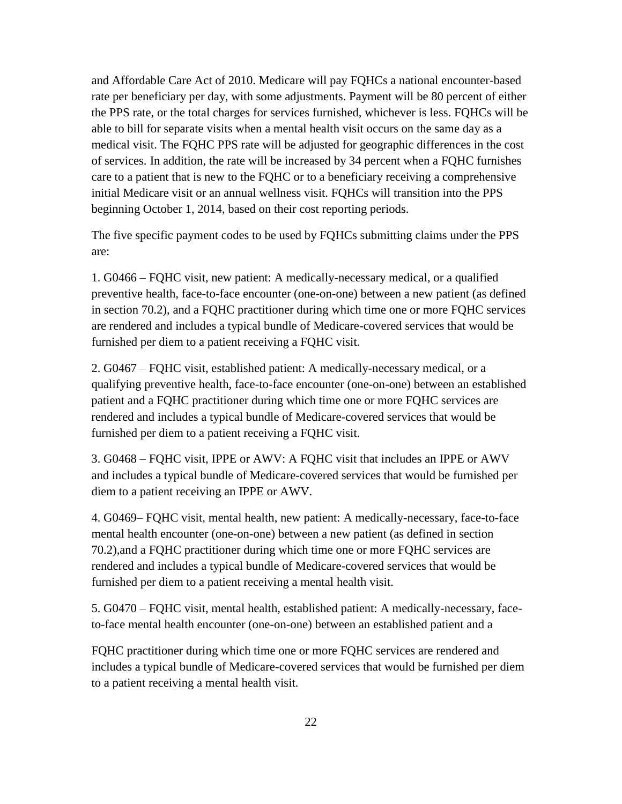and Affordable Care Act of 2010. Medicare will pay FQHCs a national encounter-based rate per beneficiary per day, with some adjustments. Payment will be 80 percent of either the PPS rate, or the total charges for services furnished, whichever is less. FQHCs will be able to bill for separate visits when a mental health visit occurs on the same day as a medical visit. The FQHC PPS rate will be adjusted for geographic differences in the cost of services. In addition, the rate will be increased by 34 percent when a FQHC furnishes care to a patient that is new to the FQHC or to a beneficiary receiving a comprehensive initial Medicare visit or an annual wellness visit. FQHCs will transition into the PPS beginning October 1, 2014, based on their cost reporting periods.

The five specific payment codes to be used by FQHCs submitting claims under the PPS are:

1. G0466 – FQHC visit, new patient: A medically-necessary medical, or a qualified preventive health, face-to-face encounter (one-on-one) between a new patient (as defined in section 70.2), and a FQHC practitioner during which time one or more FQHC services are rendered and includes a typical bundle of Medicare-covered services that would be furnished per diem to a patient receiving a FQHC visit.

2. G0467 – FQHC visit, established patient: A medically-necessary medical, or a qualifying preventive health, face-to-face encounter (one-on-one) between an established patient and a FQHC practitioner during which time one or more FQHC services are rendered and includes a typical bundle of Medicare-covered services that would be furnished per diem to a patient receiving a FQHC visit.

3. G0468 – FQHC visit, IPPE or AWV: A FQHC visit that includes an IPPE or AWV and includes a typical bundle of Medicare-covered services that would be furnished per diem to a patient receiving an IPPE or AWV.

4. G0469– FQHC visit, mental health, new patient: A medically-necessary, face-to-face mental health encounter (one-on-one) between a new patient (as defined in section 70.2),and a FQHC practitioner during which time one or more FQHC services are rendered and includes a typical bundle of Medicare-covered services that would be furnished per diem to a patient receiving a mental health visit.

5. G0470 – FQHC visit, mental health, established patient: A medically-necessary, faceto-face mental health encounter (one-on-one) between an established patient and a

FQHC practitioner during which time one or more FQHC services are rendered and includes a typical bundle of Medicare-covered services that would be furnished per diem to a patient receiving a mental health visit.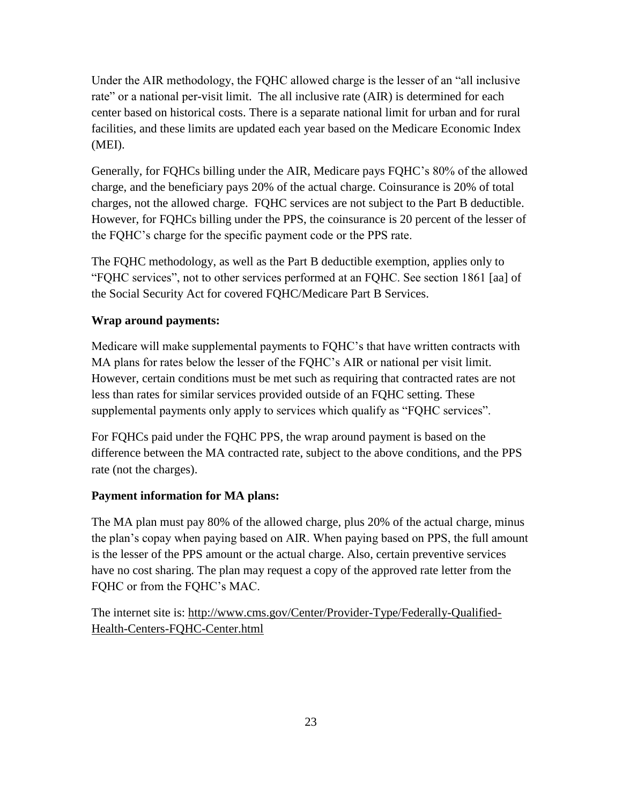Under the AIR methodology, the FQHC allowed charge is the lesser of an "all inclusive rate" or a national per-visit limit. The all inclusive rate (AIR) is determined for each center based on historical costs. There is a separate national limit for urban and for rural facilities, and these limits are updated each year based on the Medicare Economic Index (MEI).

Generally, for FQHCs billing under the AIR, Medicare pays FQHC's 80% of the allowed charge, and the beneficiary pays 20% of the actual charge. Coinsurance is 20% of total charges, not the allowed charge. FQHC services are not subject to the Part B deductible. However, for FQHCs billing under the PPS, the coinsurance is 20 percent of the lesser of the FQHC's charge for the specific payment code or the PPS rate.

The FQHC methodology, as well as the Part B deductible exemption, applies only to "FQHC services", not to other services performed at an FQHC. See section 1861 [aa] of the Social Security Act for covered FQHC/Medicare Part B Services.

### **Wrap around payments:**

Medicare will make supplemental payments to FQHC's that have written contracts with MA plans for rates below the lesser of the FQHC's AIR or national per visit limit. However, certain conditions must be met such as requiring that contracted rates are not less than rates for similar services provided outside of an FQHC setting. These supplemental payments only apply to services which qualify as "FQHC services".

For FQHCs paid under the FQHC PPS, the wrap around payment is based on the difference between the MA contracted rate, subject to the above conditions, and the PPS rate (not the charges).

### **Payment information for MA plans:**

The MA plan must pay 80% of the allowed charge, plus 20% of the actual charge, minus the plan's copay when paying based on AIR. When paying based on PPS, the full amount is the lesser of the PPS amount or the actual charge. Also, certain preventive services have no cost sharing. The plan may request a copy of the approved rate letter from the FQHC or from the FQHC's MAC.

The internet site is: [http://www.cms.gov/Center/Provider-Type/Federally-Qualified-](http://www.cms.gov/Center/Provider-Type/Federally-Qualified-Health-Centers-FQHC-Center.html)[Health-Centers-FQHC-Center.html](http://www.cms.gov/Center/Provider-Type/Federally-Qualified-Health-Centers-FQHC-Center.html)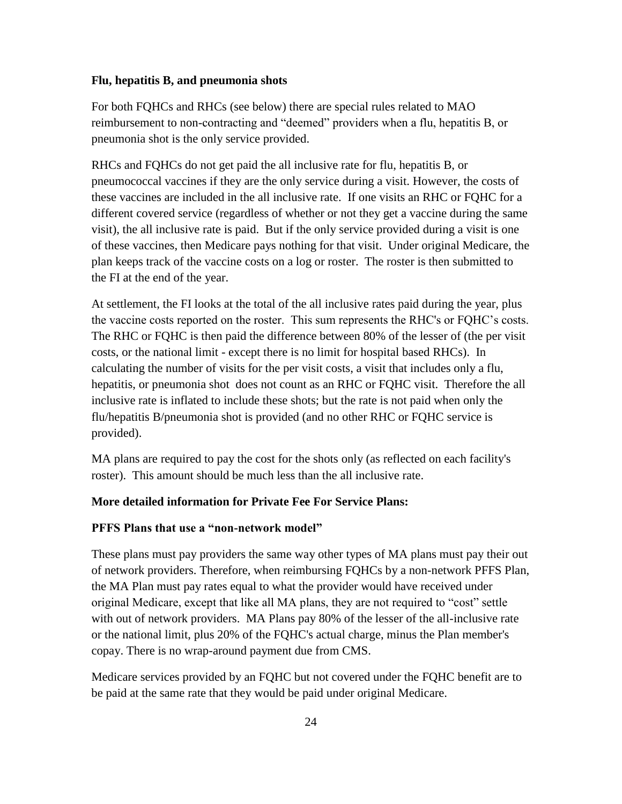#### **Flu, hepatitis B, and pneumonia shots**

For both FQHCs and RHCs (see below) there are special rules related to MAO reimbursement to non-contracting and "deemed" providers when a flu, hepatitis B, or pneumonia shot is the only service provided.

RHCs and FQHCs do not get paid the all inclusive rate for flu, hepatitis B, or pneumococcal vaccines if they are the only service during a visit. However, the costs of these vaccines are included in the all inclusive rate. If one visits an RHC or FQHC for a different covered service (regardless of whether or not they get a vaccine during the same visit), the all inclusive rate is paid. But if the only service provided during a visit is one of these vaccines, then Medicare pays nothing for that visit. Under original Medicare, the plan keeps track of the vaccine costs on a log or roster. The roster is then submitted to the FI at the end of the year.

At settlement, the FI looks at the total of the all inclusive rates paid during the year, plus the vaccine costs reported on the roster. This sum represents the RHC's or FQHC's costs. The RHC or FQHC is then paid the difference between 80% of the lesser of (the per visit costs, or the national limit - except there is no limit for hospital based RHCs). In calculating the number of visits for the per visit costs, a visit that includes only a flu, hepatitis, or pneumonia shot does not count as an RHC or FQHC visit. Therefore the all inclusive rate is inflated to include these shots; but the rate is not paid when only the flu/hepatitis B/pneumonia shot is provided (and no other RHC or FQHC service is provided).

MA plans are required to pay the cost for the shots only (as reflected on each facility's roster). This amount should be much less than the all inclusive rate.

#### **More detailed information for Private Fee For Service Plans:**

#### **PFFS Plans that use a "non-network model"**

These plans must pay providers the same way other types of MA plans must pay their out of network providers. Therefore, when reimbursing FQHCs by a non-network PFFS Plan, the MA Plan must pay rates equal to what the provider would have received under original Medicare, except that like all MA plans, they are not required to "cost" settle with out of network providers. MA Plans pay 80% of the lesser of the all-inclusive rate or the national limit, plus 20% of the FQHC's actual charge, minus the Plan member's copay. There is no wrap-around payment due from CMS.

Medicare services provided by an FQHC but not covered under the FQHC benefit are to be paid at the same rate that they would be paid under original Medicare.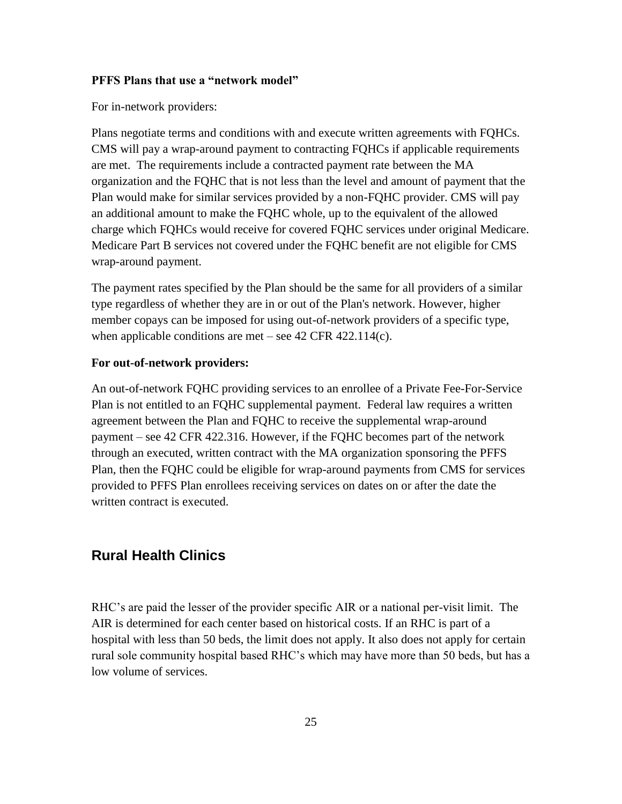#### **PFFS Plans that use a "network model"**

For in-network providers:

Plans negotiate terms and conditions with and execute written agreements with FQHCs. CMS will pay a wrap-around payment to contracting FQHCs if applicable requirements are met. The requirements include a contracted payment rate between the MA organization and the FQHC that is not less than the level and amount of payment that the Plan would make for similar services provided by a non-FQHC provider. CMS will pay an additional amount to make the FQHC whole, up to the equivalent of the allowed charge which FQHCs would receive for covered FQHC services under original Medicare. Medicare Part B services not covered under the FQHC benefit are not eligible for CMS wrap-around payment.

The payment rates specified by the Plan should be the same for all providers of a similar type regardless of whether they are in or out of the Plan's network. However, higher member copays can be imposed for using out-of-network providers of a specific type, when applicable conditions are met – see 42 CFR 422.114(c).

#### **For out-of-network providers:**

An out-of-network FQHC providing services to an enrollee of a Private Fee-For-Service Plan is not entitled to an FQHC supplemental payment. Federal law requires a written agreement between the Plan and FQHC to receive the supplemental wrap-around payment – see 42 CFR 422.316. However, if the FQHC becomes part of the network through an executed, written contract with the MA organization sponsoring the PFFS Plan, then the FQHC could be eligible for wrap-around payments from CMS for services provided to PFFS Plan enrollees receiving services on dates on or after the date the written contract is executed.

### <span id="page-24-0"></span>**Rural Health Clinics**

RHC's are paid the lesser of the provider specific AIR or a national per-visit limit. The AIR is determined for each center based on historical costs. If an RHC is part of a hospital with less than 50 beds, the limit does not apply. It also does not apply for certain rural sole community hospital based RHC's which may have more than 50 beds, but has a low volume of services.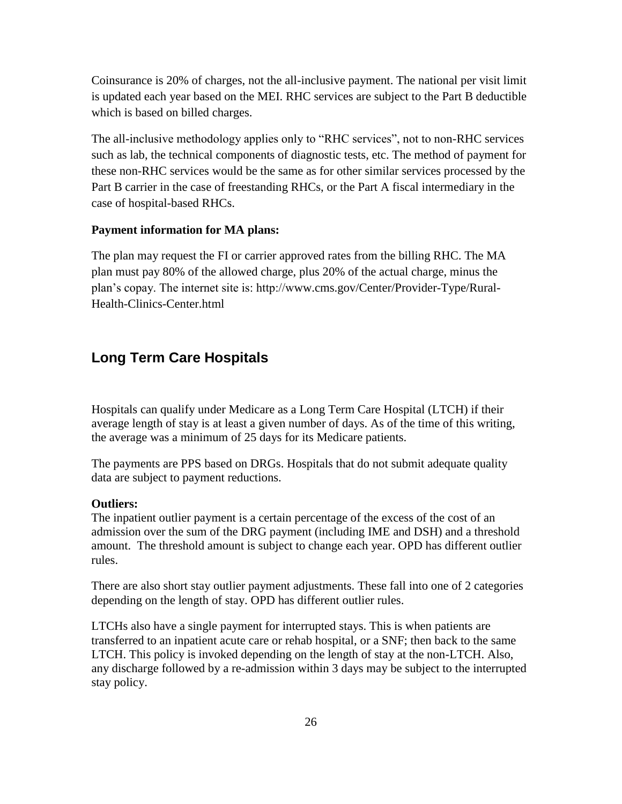Coinsurance is 20% of charges, not the all-inclusive payment. The national per visit limit is updated each year based on the MEI. RHC services are subject to the Part B deductible which is based on billed charges.

The all-inclusive methodology applies only to "RHC services", not to non-RHC services such as lab, the technical components of diagnostic tests, etc. The method of payment for these non-RHC services would be the same as for other similar services processed by the Part B carrier in the case of freestanding RHCs, or the Part A fiscal intermediary in the case of hospital-based RHCs.

#### **Payment information for MA plans:**

The plan may request the FI or carrier approved rates from the billing RHC. The MA plan must pay 80% of the allowed charge, plus 20% of the actual charge, minus the plan's copay. The internet site is: http://www.cms.gov/Center/Provider-Type/Rural-Health-Clinics-Center.html

### <span id="page-25-0"></span>**Long Term Care Hospitals**

Hospitals can qualify under Medicare as a Long Term Care Hospital (LTCH) if their average length of stay is at least a given number of days. As of the time of this writing, the average was a minimum of 25 days for its Medicare patients.

The payments are PPS based on DRGs. Hospitals that do not submit adequate quality data are subject to payment reductions.

#### **Outliers:**

The inpatient outlier payment is a certain percentage of the excess of the cost of an admission over the sum of the DRG payment (including IME and DSH) and a threshold amount. The threshold amount is subject to change each year. OPD has different outlier rules.

There are also short stay outlier payment adjustments. These fall into one of 2 categories depending on the length of stay. OPD has different outlier rules.

LTCHs also have a single payment for interrupted stays. This is when patients are transferred to an inpatient acute care or rehab hospital, or a SNF; then back to the same LTCH. This policy is invoked depending on the length of stay at the non-LTCH. Also, any discharge followed by a re-admission within 3 days may be subject to the interrupted stay policy.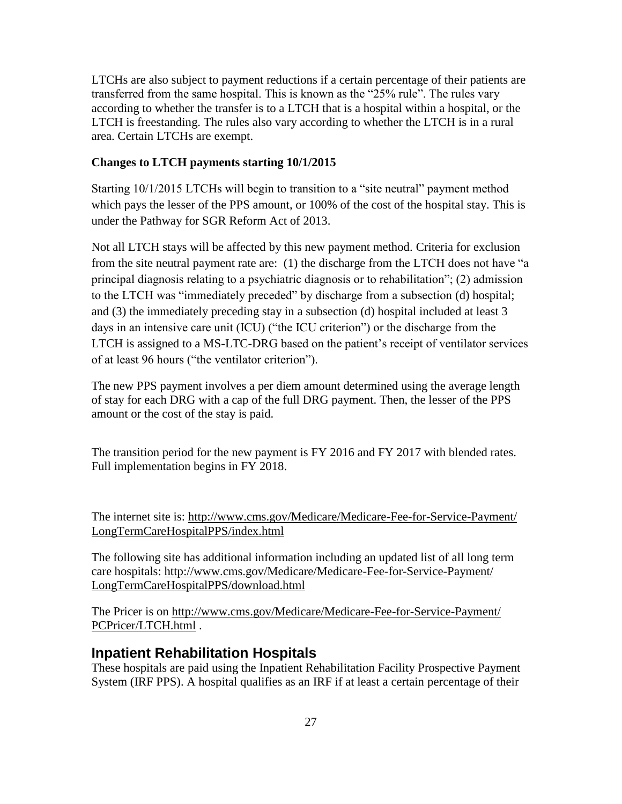LTCHs are also subject to payment reductions if a certain percentage of their patients are transferred from the same hospital. This is known as the "25% rule". The rules vary according to whether the transfer is to a LTCH that is a hospital within a hospital, or the LTCH is freestanding. The rules also vary according to whether the LTCH is in a rural area. Certain LTCHs are exempt.

#### **Changes to LTCH payments starting 10/1/2015**

Starting 10/1/2015 LTCHs will begin to transition to a "site neutral" payment method which pays the lesser of the PPS amount, or 100% of the cost of the hospital stay. This is under the Pathway for SGR Reform Act of 2013.

Not all LTCH stays will be affected by this new payment method. Criteria for exclusion from the site neutral payment rate are: (1) the discharge from the LTCH does not have "a principal diagnosis relating to a psychiatric diagnosis or to rehabilitation"; (2) admission to the LTCH was "immediately preceded" by discharge from a subsection (d) hospital; and (3) the immediately preceding stay in a subsection (d) hospital included at least 3 days in an intensive care unit (ICU) ("the ICU criterion") or the discharge from the LTCH is assigned to a MS-LTC-DRG based on the patient's receipt of ventilator services of at least 96 hours ("the ventilator criterion").

The new PPS payment involves a per diem amount determined using the average length of stay for each DRG with a cap of the full DRG payment. Then, the lesser of the PPS amount or the cost of the stay is paid.

The transition period for the new payment is FY 2016 and FY 2017 with blended rates. Full implementation begins in FY 2018.

The internet site is: [http://www.cms.gov/Medicare/Medicare-Fee-for-Service-Payment/](http://www.cms.gov/Medicare/Medicare-Fee-for-Service-Payment/LongTermCareHospitalPPS/index.html) [LongTermCareHospitalPPS/index.html](http://www.cms.gov/Medicare/Medicare-Fee-for-Service-Payment/LongTermCareHospitalPPS/index.html) 

The following site has additional information including an updated list of all long term care hospitals: [http://www.cms.gov/Medicare/Medicare-Fee-for-Service-Payment/](http://www.cms.gov/Medicare/Medicare-Fee-for-Service-Payment/LongTermCareHospitalPPS/download.html) [LongTermCareHospitalPPS/download.html](http://www.cms.gov/Medicare/Medicare-Fee-for-Service-Payment/LongTermCareHospitalPPS/download.html)

The Pricer is on [http://www.cms.gov/Medicare/Medicare-Fee-for-Service-Payment/](http://www.cms.gov/Medicare/Medicare-Fee-for-Service-Payment/PCPricer/LTCH.html) [PCPricer/LTCH.html](http://www.cms.gov/Medicare/Medicare-Fee-for-Service-Payment/PCPricer/LTCH.html) .

### <span id="page-26-0"></span>**Inpatient Rehabilitation Hospitals**

These hospitals are paid using the Inpatient Rehabilitation Facility Prospective Payment System (IRF PPS). A hospital qualifies as an IRF if at least a certain percentage of their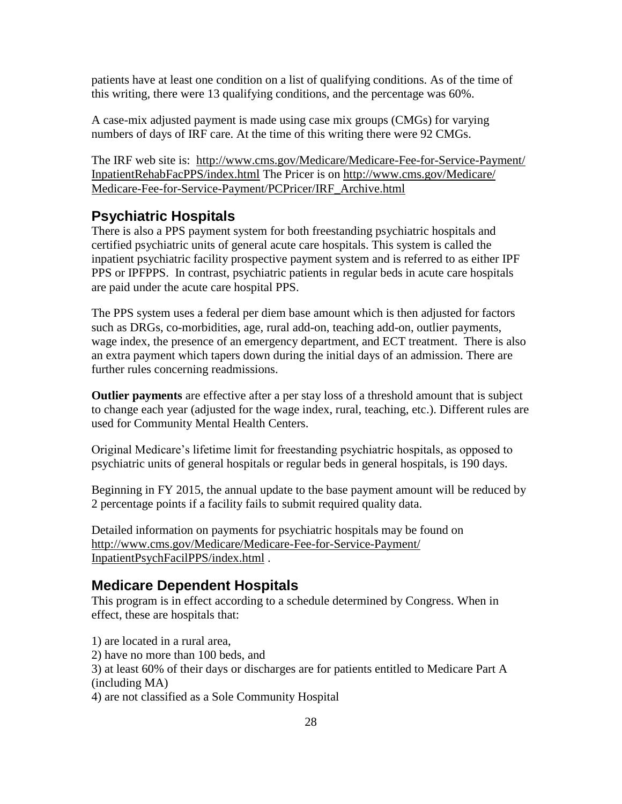patients have at least one condition on a list of qualifying conditions. As of the time of this writing, there were 13 qualifying conditions, and the percentage was 60%.

A case-mix adjusted payment is made using case mix groups (CMGs) for varying numbers of days of IRF care. At the time of this writing there were 92 CMGs.

The IRF web site is: [http://www.cms.gov/Medicare/Medicare-Fee-for-Service-Payment/](http://www.cms.gov/Medicare/Medicare-Fee-for-Service-Payment/InpatientRehabFacPPS/index.html) [InpatientRehabFacPPS/index.html](http://www.cms.gov/Medicare/Medicare-Fee-for-Service-Payment/InpatientRehabFacPPS/index.html) The Pricer is on [http://www.cms.gov/Medicare/](http://www.cms.gov/Medicare/Medicare-Fee-for-Service-Payment/PCPricer/IRF_Archive.html) [Medicare-Fee-for-Service-Payment/PCPricer/IRF\\_Archive.html](http://www.cms.gov/Medicare/Medicare-Fee-for-Service-Payment/PCPricer/IRF_Archive.html)

### <span id="page-27-0"></span>**Psychiatric Hospitals**

There is also a PPS payment system for both freestanding psychiatric hospitals and certified psychiatric units of general acute care hospitals. This system is called the inpatient psychiatric facility prospective payment system and is referred to as either IPF PPS or IPFPPS. In contrast, psychiatric patients in regular beds in acute care hospitals are paid under the acute care hospital PPS.

The PPS system uses a federal per diem base amount which is then adjusted for factors such as DRGs, co-morbidities, age, rural add-on, teaching add-on, outlier payments, wage index, the presence of an emergency department, and ECT treatment. There is also an extra payment which tapers down during the initial days of an admission. There are further rules concerning readmissions.

**Outlier payments** are effective after a per stay loss of a threshold amount that is subject to change each year (adjusted for the wage index, rural, teaching, etc.). Different rules are used for Community Mental Health Centers.

Original Medicare's lifetime limit for freestanding psychiatric hospitals, as opposed to psychiatric units of general hospitals or regular beds in general hospitals, is 190 days.

Beginning in FY 2015, the annual update to the base payment amount will be reduced by 2 percentage points if a facility fails to submit required quality data.

Detailed information on payments for psychiatric hospitals may be found on [http://www.cms.gov/Medicare/Medicare-Fee-for-Service-Payment/](http://www.cms.gov/Medicare/Medicare-Fee-for-Service-Payment/InpatientPsychFacilPPS/index.html) [InpatientPsychFacilPPS/index.html](http://www.cms.gov/Medicare/Medicare-Fee-for-Service-Payment/InpatientPsychFacilPPS/index.html) .

### <span id="page-27-1"></span>**Medicare Dependent Hospitals**

This program is in effect according to a schedule determined by Congress. When in effect, these are hospitals that:

1) are located in a rural area,

2) have no more than 100 beds, and

3) at least 60% of their days or discharges are for patients entitled to Medicare Part A (including MA)

4) are not classified as a Sole Community Hospital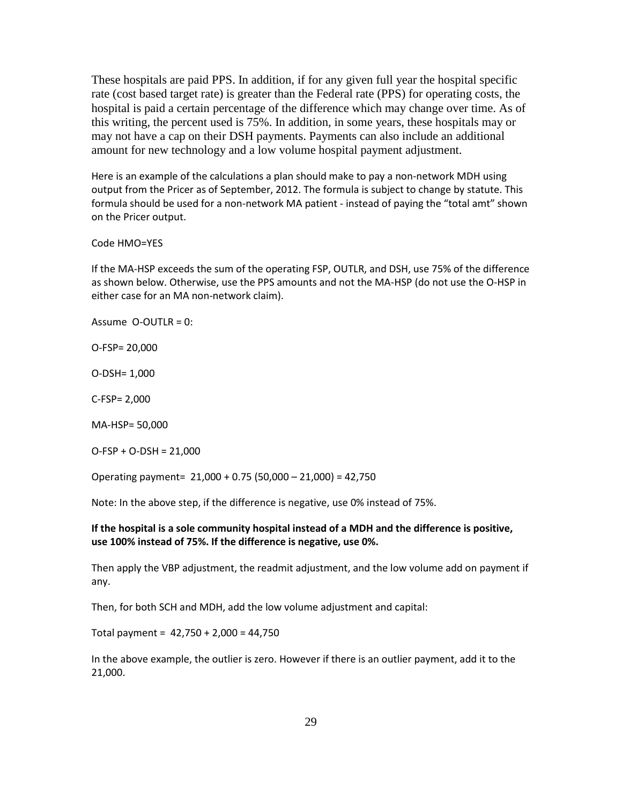These hospitals are paid PPS. In addition, if for any given full year the hospital specific rate (cost based target rate) is greater than the Federal rate (PPS) for operating costs, the hospital is paid a certain percentage of the difference which may change over time. As of this writing, the percent used is 75%. In addition, in some years, these hospitals may or may not have a cap on their DSH payments. Payments can also include an additional amount for new technology and a low volume hospital payment adjustment.

Here is an example of the calculations a plan should make to pay a non-network MDH using output from the Pricer as of September, 2012. The formula is subject to change by statute. This formula should be used for a non-network MA patient - instead of paying the "total amt" shown on the Pricer output.

#### Code HMO=YES

If the MA-HSP exceeds the sum of the operating FSP, OUTLR, and DSH, use 75% of the difference as shown below. Otherwise, use the PPS amounts and not the MA-HSP (do not use the O-HSP in either case for an MA non-network claim).

Assume O-OUTLR = 0:

O-FSP= 20,000

O-DSH= 1,000

C-FSP= 2,000

MA-HSP= 50,000

O-FSP + O-DSH = 21,000

Operating payment= 21,000 + 0.75 (50,000 – 21,000) = 42,750

Note: In the above step, if the difference is negative, use 0% instead of 75%.

#### **If the hospital is a sole community hospital instead of a MDH and the difference is positive, use 100% instead of 75%. If the difference is negative, use 0%.**

Then apply the VBP adjustment, the readmit adjustment, and the low volume add on payment if any.

Then, for both SCH and MDH, add the low volume adjustment and capital:

Total payment =  $42,750 + 2,000 = 44,750$ 

In the above example, the outlier is zero. However if there is an outlier payment, add it to the 21,000.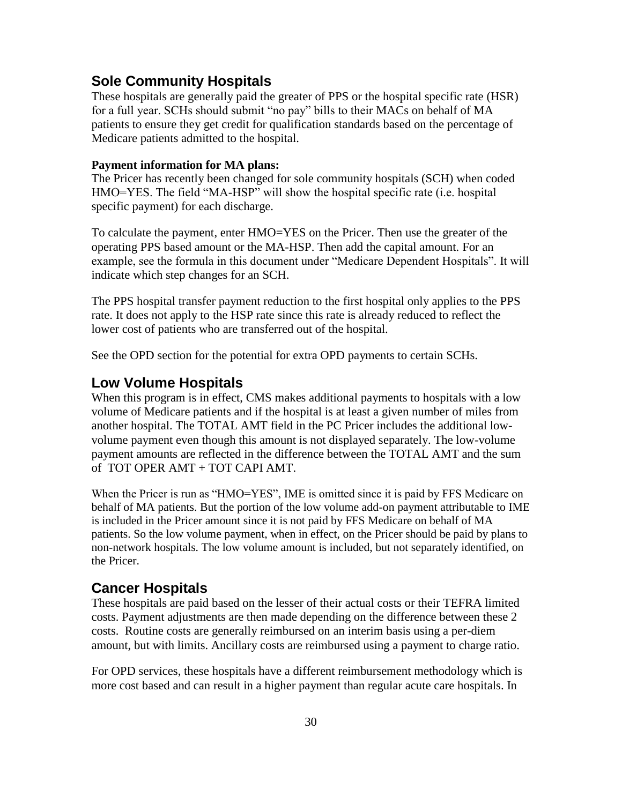### <span id="page-29-0"></span>**Sole Community Hospitals**

These hospitals are generally paid the greater of PPS or the hospital specific rate (HSR) for a full year. SCHs should submit "no pay" bills to their MACs on behalf of MA patients to ensure they get credit for qualification standards based on the percentage of Medicare patients admitted to the hospital.

#### **Payment information for MA plans:**

The Pricer has recently been changed for sole community hospitals (SCH) when coded HMO=YES. The field "MA-HSP" will show the hospital specific rate (i.e. hospital specific payment) for each discharge.

To calculate the payment, enter HMO=YES on the Pricer. Then use the greater of the operating PPS based amount or the MA-HSP. Then add the capital amount. For an example, see the formula in this document under "Medicare Dependent Hospitals". It will indicate which step changes for an SCH.

The PPS hospital transfer payment reduction to the first hospital only applies to the PPS rate. It does not apply to the HSP rate since this rate is already reduced to reflect the lower cost of patients who are transferred out of the hospital.

See the OPD section for the potential for extra OPD payments to certain SCHs.

#### <span id="page-29-1"></span>**Low Volume Hospitals**

When this program is in effect, CMS makes additional payments to hospitals with a low volume of Medicare patients and if the hospital is at least a given number of miles from another hospital. The TOTAL AMT field in the PC Pricer includes the additional lowvolume payment even though this amount is not displayed separately. The low-volume payment amounts are reflected in the difference between the TOTAL AMT and the sum of TOT OPER AMT + TOT CAPI AMT.

When the Pricer is run as "HMO=YES", IME is omitted since it is paid by FFS Medicare on behalf of MA patients. But the portion of the low volume add-on payment attributable to IME is included in the Pricer amount since it is not paid by FFS Medicare on behalf of MA patients. So the low volume payment, when in effect, on the Pricer should be paid by plans to non-network hospitals. The low volume amount is included, but not separately identified, on the Pricer.

### <span id="page-29-2"></span>**Cancer Hospitals**

These hospitals are paid based on the lesser of their actual costs or their TEFRA limited costs. Payment adjustments are then made depending on the difference between these 2 costs. Routine costs are generally reimbursed on an interim basis using a per-diem amount, but with limits. Ancillary costs are reimbursed using a payment to charge ratio.

For OPD services, these hospitals have a different reimbursement methodology which is more cost based and can result in a higher payment than regular acute care hospitals. In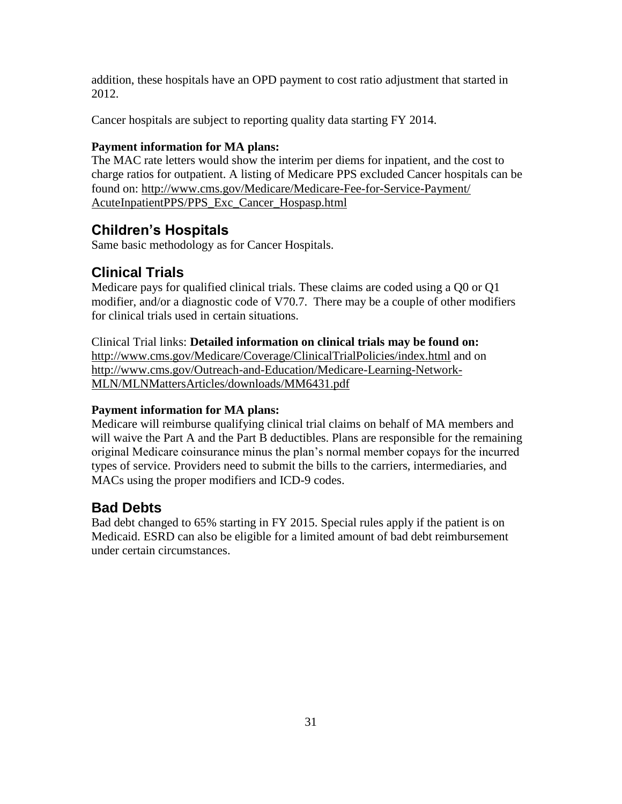addition, these hospitals have an OPD payment to cost ratio adjustment that started in 2012.

Cancer hospitals are subject to reporting quality data starting FY 2014.

### **Payment information for MA plans:**

The MAC rate letters would show the interim per diems for inpatient, and the cost to charge ratios for outpatient. A listing of Medicare PPS excluded Cancer hospitals can be found on: [http://www.cms.gov/Medicare/Medicare-Fee-for-Service-Payment/](http://www.cms.gov/Medicare/Medicare-Fee-for-Service-Payment/AcuteInpatientPPS/PPS_Exc_Cancer_Hospasp.html) [AcuteInpatientPPS/PPS\\_Exc\\_Cancer\\_Hospasp.html](http://www.cms.gov/Medicare/Medicare-Fee-for-Service-Payment/AcuteInpatientPPS/PPS_Exc_Cancer_Hospasp.html)

# <span id="page-30-0"></span>**Children's Hospitals**

Same basic methodology as for Cancer Hospitals.

# <span id="page-30-1"></span>**Clinical Trials**

Medicare pays for qualified clinical trials. These claims are coded using a Q0 or Q1 modifier, and/or a diagnostic code of V70.7. There may be a couple of other modifiers for clinical trials used in certain situations.

### Clinical Trial links: **Detailed information on clinical trials may be found on:**

<http://www.cms.gov/Medicare/Coverage/ClinicalTrialPolicies/index.html>and on [http://www.cms.gov/Outreach-and-Education/Medicare-Learning-Network-](http://www.cms.gov/Outreach-and-Education/Medicare-Learning-Network-MLN/MLNMattersArticles/downloads/MM6431.pdf)[MLN/MLNMattersArticles/downloads/MM6431.pdf](http://www.cms.gov/Outreach-and-Education/Medicare-Learning-Network-MLN/MLNMattersArticles/downloads/MM6431.pdf)

### **Payment information for MA plans:**

Medicare will reimburse qualifying clinical trial claims on behalf of MA members and will waive the Part A and the Part B deductibles. Plans are responsible for the remaining original Medicare coinsurance minus the plan's normal member copays for the incurred types of service. Providers need to submit the bills to the carriers, intermediaries, and MACs using the proper modifiers and ICD-9 codes.

# <span id="page-30-2"></span>**Bad Debts**

Bad debt changed to 65% starting in FY 2015. Special rules apply if the patient is on Medicaid. ESRD can also be eligible for a limited amount of bad debt reimbursement under certain circumstances.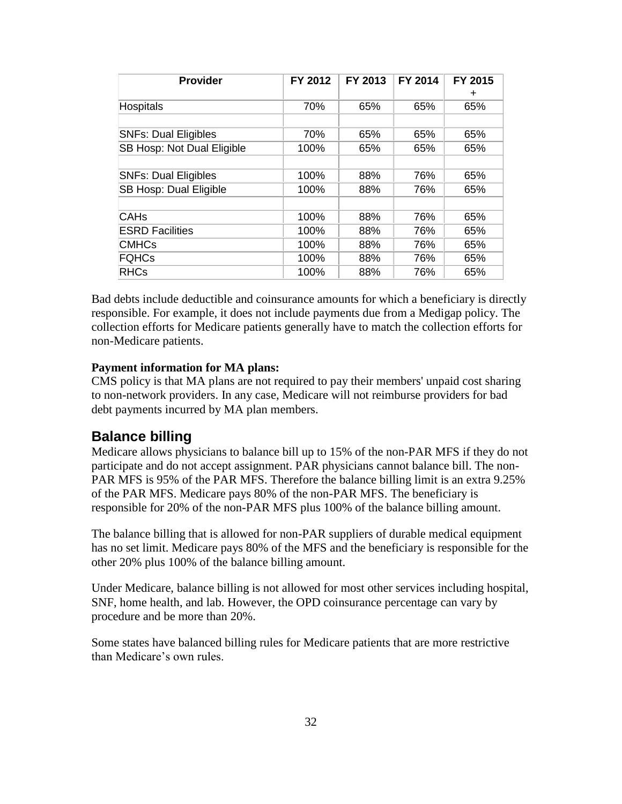| <b>Provider</b>               | FY 2012 | FY 2013 | FY 2014 | FY 2015<br>٠ |
|-------------------------------|---------|---------|---------|--------------|
| <b>Hospitals</b>              | 70%     | 65%     | 65%     | 65%          |
|                               |         |         |         |              |
| <b>SNFs: Dual Eligibles</b>   | 70%     | 65%     | 65%     | 65%          |
| SB Hosp: Not Dual Eligible    | 100%    | 65%     | 65%     | 65%          |
|                               |         |         |         |              |
| <b>SNFs: Dual Eligibles</b>   | 100%    | 88%     | 76%     | 65%          |
| <b>SB Hosp: Dual Eligible</b> | 100%    | 88%     | 76%     | 65%          |
|                               |         |         |         |              |
| <b>CAHs</b>                   | 100%    | 88%     | 76%     | 65%          |
| <b>ESRD Facilities</b>        | 100%    | 88%     | 76%     | 65%          |
| <b>CMHCs</b>                  | 100%    | 88%     | 76%     | 65%          |
| <b>FQHCs</b>                  | 100%    | 88%     | 76%     | 65%          |
| <b>RHCs</b>                   | 100%    | 88%     | 76%     | 65%          |

Bad debts include deductible and coinsurance amounts for which a beneficiary is directly responsible. For example, it does not include payments due from a Medigap policy. The collection efforts for Medicare patients generally have to match the collection efforts for non-Medicare patients.

#### **Payment information for MA plans:**

CMS policy is that MA plans are not required to pay their members' unpaid cost sharing to non-network providers. In any case, Medicare will not reimburse providers for bad debt payments incurred by MA plan members.

### <span id="page-31-0"></span>**Balance billing**

Medicare allows physicians to balance bill up to 15% of the non-PAR MFS if they do not participate and do not accept assignment. PAR physicians cannot balance bill. The non-PAR MFS is 95% of the PAR MFS. Therefore the balance billing limit is an extra 9.25% of the PAR MFS. Medicare pays 80% of the non-PAR MFS. The beneficiary is responsible for 20% of the non-PAR MFS plus 100% of the balance billing amount.

The balance billing that is allowed for non-PAR suppliers of durable medical equipment has no set limit. Medicare pays 80% of the MFS and the beneficiary is responsible for the other 20% plus 100% of the balance billing amount.

Under Medicare, balance billing is not allowed for most other services including hospital, SNF, home health, and lab. However, the OPD coinsurance percentage can vary by procedure and be more than 20%.

Some states have balanced billing rules for Medicare patients that are more restrictive than Medicare's own rules.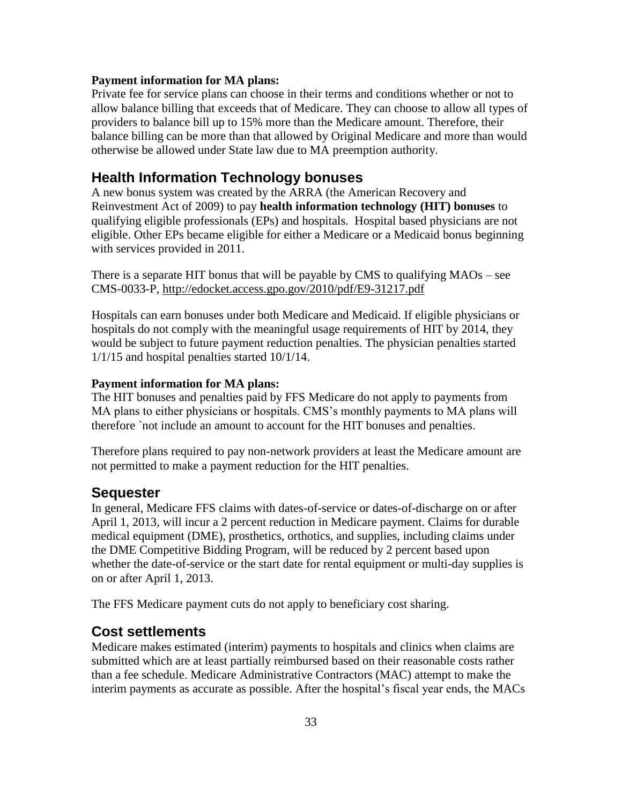#### **Payment information for MA plans:**

Private fee for service plans can choose in their terms and conditions whether or not to allow balance billing that exceeds that of Medicare. They can choose to allow all types of providers to balance bill up to 15% more than the Medicare amount. Therefore, their balance billing can be more than that allowed by Original Medicare and more than would otherwise be allowed under State law due to MA preemption authority.

#### <span id="page-32-0"></span>**Health Information Technology bonuses**

A new bonus system was created by the ARRA (the American Recovery and Reinvestment Act of 2009) to pay **health information technology (HIT) bonuses** to qualifying eligible professionals (EPs) and hospitals. Hospital based physicians are not eligible. Other EPs became eligible for either a Medicare or a Medicaid bonus beginning with services provided in 2011.

There is a separate HIT bonus that will be payable by CMS to qualifying MAOs – see CMS-0033-P,<http://edocket.access.gpo.gov/2010/pdf/E9-31217.pdf>

Hospitals can earn bonuses under both Medicare and Medicaid. If eligible physicians or hospitals do not comply with the meaningful usage requirements of HIT by 2014, they would be subject to future payment reduction penalties. The physician penalties started 1/1/15 and hospital penalties started 10/1/14.

#### **Payment information for MA plans:**

The HIT bonuses and penalties paid by FFS Medicare do not apply to payments from MA plans to either physicians or hospitals. CMS's monthly payments to MA plans will therefore `not include an amount to account for the HIT bonuses and penalties.

Therefore plans required to pay non-network providers at least the Medicare amount are not permitted to make a payment reduction for the HIT penalties.

#### <span id="page-32-1"></span>**Sequester**

In general, Medicare FFS claims with dates-of-service or dates-of-discharge on or after April 1, 2013, will incur a 2 percent reduction in Medicare payment. Claims for durable medical equipment (DME), prosthetics, orthotics, and supplies, including claims under the DME Competitive Bidding Program, will be reduced by 2 percent based upon whether the date-of-service or the start date for rental equipment or multi-day supplies is on or after April 1, 2013.

The FFS Medicare payment cuts do not apply to beneficiary cost sharing.

### <span id="page-32-2"></span>**Cost settlements**

Medicare makes estimated (interim) payments to hospitals and clinics when claims are submitted which are at least partially reimbursed based on their reasonable costs rather than a fee schedule. Medicare Administrative Contractors (MAC) attempt to make the interim payments as accurate as possible. After the hospital's fiscal year ends, the MACs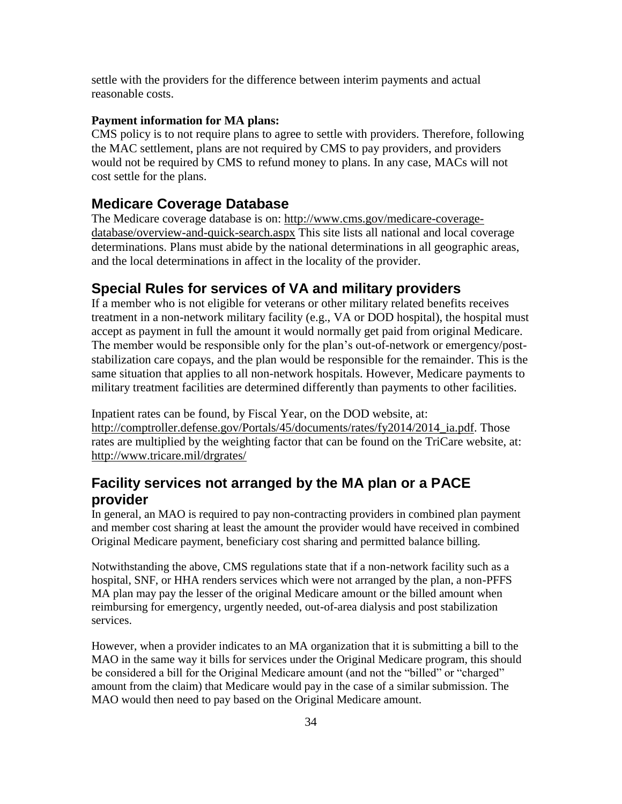settle with the providers for the difference between interim payments and actual reasonable costs.

#### **Payment information for MA plans:**

CMS policy is to not require plans to agree to settle with providers. Therefore, following the MAC settlement, plans are not required by CMS to pay providers, and providers would not be required by CMS to refund money to plans. In any case, MACs will not cost settle for the plans.

#### <span id="page-33-0"></span>**Medicare Coverage Database**

The Medicare coverage database is on: [http://www.cms.gov/medicare-coverage](http://www.cms.gov/medicare-coverage-database/overview-and-quick-search.aspx)[database/overview-and-quick-search.aspx](http://www.cms.gov/medicare-coverage-database/overview-and-quick-search.aspx) This site lists all national and local coverage determinations. Plans must abide by the national determinations in all geographic areas, and the local determinations in affect in the locality of the provider.

### <span id="page-33-1"></span>**Special Rules for services of VA and military providers**

If a member who is not eligible for veterans or other military related benefits receives treatment in a non-network military facility (e.g., VA or DOD hospital), the hospital must accept as payment in full the amount it would normally get paid from original Medicare. The member would be responsible only for the plan's out-of-network or emergency/poststabilization care copays, and the plan would be responsible for the remainder. This is the same situation that applies to all non-network hospitals. However, Medicare payments to military treatment facilities are determined differently than payments to other facilities.

Inpatient rates can be found, by Fiscal Year, on the DOD website, at: [http://comptroller.defense.gov/Portals/45/documents/rates/fy2014/2014\\_ia.pdf.](http://comptroller.defense.gov/Portals/45/documents/rates/fy2014/2014_ia.pdf) Those rates are multiplied by the weighting factor that can be found on the TriCare website, at: <http://www.tricare.mil/drgrates/>

# <span id="page-33-2"></span>**Facility services not arranged by the MA plan or a PACE provider**

In general, an MAO is required to pay non-contracting providers in combined plan payment and member cost sharing at least the amount the provider would have received in combined Original Medicare payment, beneficiary cost sharing and permitted balance billing.

Notwithstanding the above, CMS regulations state that if a non-network facility such as a hospital, SNF, or HHA renders services which were not arranged by the plan, a non-PFFS MA plan may pay the lesser of the original Medicare amount or the billed amount when reimbursing for emergency, urgently needed, out-of-area dialysis and post stabilization services.

However, when a provider indicates to an MA organization that it is submitting a bill to the MAO in the same way it bills for services under the Original Medicare program, this should be considered a bill for the Original Medicare amount (and not the "billed" or "charged" amount from the claim) that Medicare would pay in the case of a similar submission. The MAO would then need to pay based on the Original Medicare amount.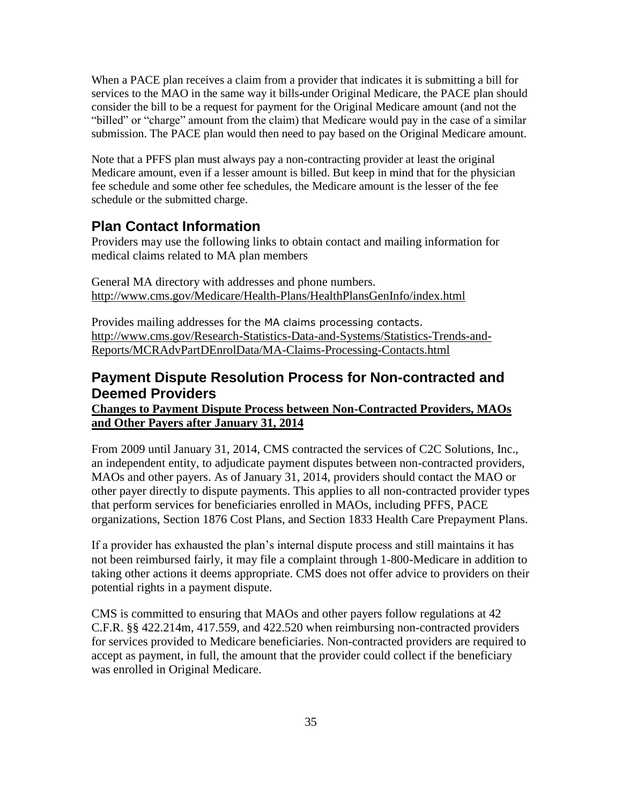When a PACE plan receives a claim from a provider that indicates it is submitting a bill for services to the MAO in the same way it bills under Original Medicare, the PACE plan should consider the bill to be a request for payment for the Original Medicare amount (and not the "billed" or "charge" amount from the claim) that Medicare would pay in the case of a similar submission. The PACE plan would then need to pay based on the Original Medicare amount.

Note that a PFFS plan must always pay a non-contracting provider at least the original Medicare amount, even if a lesser amount is billed. But keep in mind that for the physician fee schedule and some other fee schedules, the Medicare amount is the lesser of the fee schedule or the submitted charge.

## <span id="page-34-0"></span>**Plan Contact Information**

Providers may use the following links to obtain contact and mailing information for medical claims related to MA plan members

General MA directory with addresses and phone numbers. <http://www.cms.gov/Medicare/Health-Plans/HealthPlansGenInfo/index.html>

Provides mailing addresses for the MA claims processing contacts. [http://www.cms.gov/Research-Statistics-Data-and-Systems/Statistics-Trends-and-](http://www.cms.gov/Research-Statistics-Data-and-Systems/Statistics-Trends-and-Reports/MCRAdvPartDEnrolData/MA-Claims-Processing-Contacts.html)[Reports/MCRAdvPartDEnrolData/MA-Claims-Processing-Contacts.html](http://www.cms.gov/Research-Statistics-Data-and-Systems/Statistics-Trends-and-Reports/MCRAdvPartDEnrolData/MA-Claims-Processing-Contacts.html)

# <span id="page-34-1"></span>**Payment Dispute Resolution Process for Non-contracted and Deemed Providers**

**Changes to Payment Dispute Process between Non-Contracted Providers, MAOs and Other Payers after January 31, 2014** 

From 2009 until January 31, 2014, CMS contracted the services of C2C Solutions, Inc., an independent entity, to adjudicate payment disputes between non-contracted providers, MAOs and other payers. As of January 31, 2014, providers should contact the MAO or other payer directly to dispute payments. This applies to all non-contracted provider types that perform services for beneficiaries enrolled in MAOs, including PFFS, PACE organizations, Section 1876 Cost Plans, and Section 1833 Health Care Prepayment Plans.

If a provider has exhausted the plan's internal dispute process and still maintains it has not been reimbursed fairly, it may file a complaint through 1-800-Medicare in addition to taking other actions it deems appropriate. CMS does not offer advice to providers on their potential rights in a payment dispute.

CMS is committed to ensuring that MAOs and other payers follow regulations at 42 C.F.R. §§ 422.214m, 417.559, and 422.520 when reimbursing non-contracted providers for services provided to Medicare beneficiaries. Non-contracted providers are required to accept as payment, in full, the amount that the provider could collect if the beneficiary was enrolled in Original Medicare.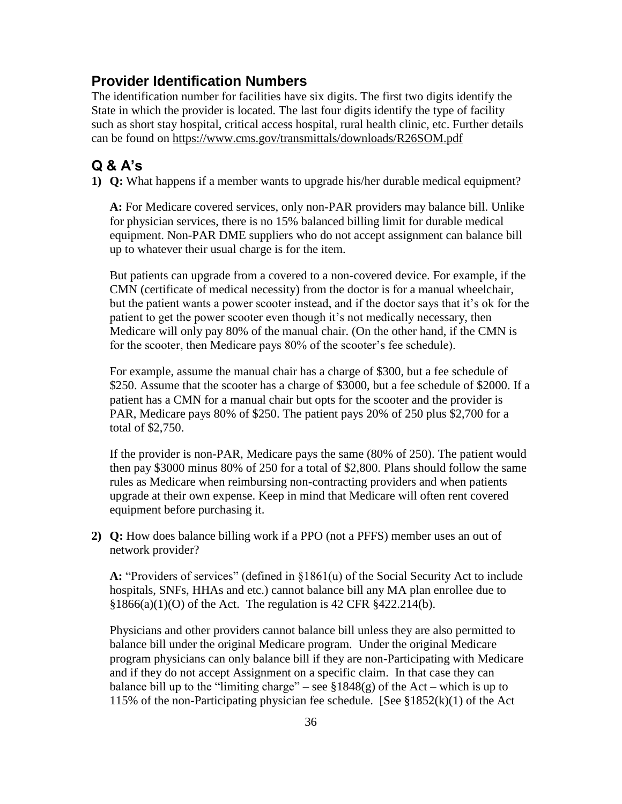## <span id="page-35-0"></span>**Provider Identification Numbers**

The identification number for facilities have six digits. The first two digits identify the State in which the provider is located. The last four digits identify the type of facility such as short stay hospital, critical access hospital, rural health clinic, etc. Further details can be found on<https://www.cms.gov/transmittals/downloads/R26SOM.pdf>

# <span id="page-35-1"></span>**Q & A's**

**1) Q:** What happens if a member wants to upgrade his/her durable medical equipment?

**A:** For Medicare covered services, only non-PAR providers may balance bill. Unlike for physician services, there is no 15% balanced billing limit for durable medical equipment. Non-PAR DME suppliers who do not accept assignment can balance bill up to whatever their usual charge is for the item.

But patients can upgrade from a covered to a non-covered device. For example, if the CMN (certificate of medical necessity) from the doctor is for a manual wheelchair, but the patient wants a power scooter instead, and if the doctor says that it's ok for the patient to get the power scooter even though it's not medically necessary, then Medicare will only pay 80% of the manual chair. (On the other hand, if the CMN is for the scooter, then Medicare pays 80% of the scooter's fee schedule).

For example, assume the manual chair has a charge of \$300, but a fee schedule of \$250. Assume that the scooter has a charge of \$3000, but a fee schedule of \$2000. If a patient has a CMN for a manual chair but opts for the scooter and the provider is PAR, Medicare pays 80% of \$250. The patient pays 20% of 250 plus \$2,700 for a total of \$2,750.

If the provider is non-PAR, Medicare pays the same (80% of 250). The patient would then pay \$3000 minus 80% of 250 for a total of \$2,800. Plans should follow the same rules as Medicare when reimbursing non-contracting providers and when patients upgrade at their own expense. Keep in mind that Medicare will often rent covered equipment before purchasing it.

**2) Q:** How does balance billing work if a PPO (not a PFFS) member uses an out of network provider?

**A:** "Providers of services" (defined in §1861(u) of the Social Security Act to include hospitals, SNFs, HHAs and etc.) cannot balance bill any MA plan enrollee due to §1866(a)(1)(O) of the Act. The regulation is 42 CFR §422.214(b).

Physicians and other providers cannot balance bill unless they are also permitted to balance bill under the original Medicare program. Under the original Medicare program physicians can only balance bill if they are non-Participating with Medicare and if they do not accept Assignment on a specific claim. In that case they can balance bill up to the "limiting charge" – see  $$1848(g)$  of the Act – which is up to 115% of the non-Participating physician fee schedule. [See  $$1852(k)(1)$  of the Act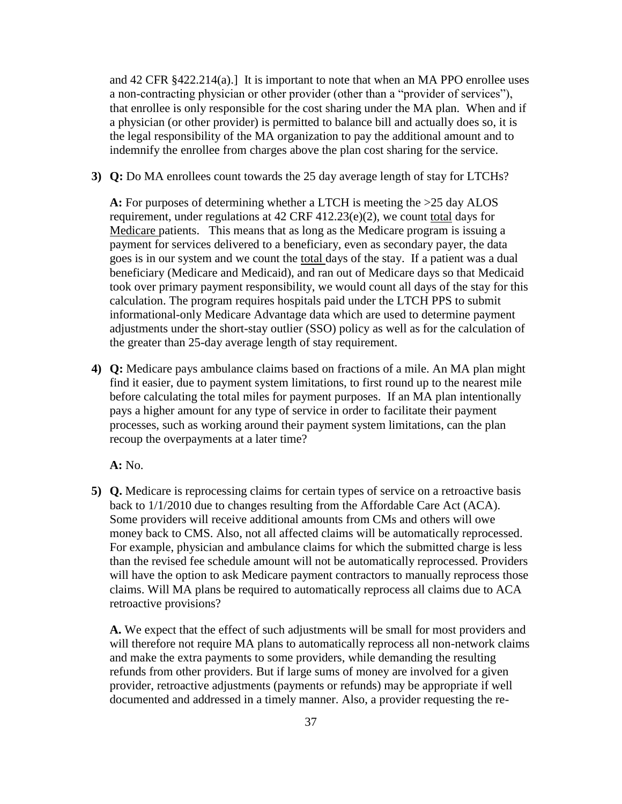and 42 CFR §422.214(a).] It is important to note that when an MA PPO enrollee uses a non-contracting physician or other provider (other than a "provider of services"), that enrollee is only responsible for the cost sharing under the MA plan. When and if a physician (or other provider) is permitted to balance bill and actually does so, it is the legal responsibility of the MA organization to pay the additional amount and to indemnify the enrollee from charges above the plan cost sharing for the service.

**3) Q:** Do MA enrollees count towards the 25 day average length of stay for LTCHs?

**A:** For purposes of determining whether a LTCH is meeting the >25 day ALOS requirement, under regulations at  $42 \text{ CRF } 412.23(e)(2)$ , we count total days for Medicare patients. This means that as long as the Medicare program is issuing a payment for services delivered to a beneficiary, even as secondary payer, the data goes is in our system and we count the total days of the stay. If a patient was a dual beneficiary (Medicare and Medicaid), and ran out of Medicare days so that Medicaid took over primary payment responsibility, we would count all days of the stay for this calculation. The program requires hospitals paid under the LTCH PPS to submit informational-only Medicare Advantage data which are used to determine payment adjustments under the short-stay outlier (SSO) policy as well as for the calculation of the greater than 25-day average length of stay requirement.

**4) Q:** Medicare pays ambulance claims based on fractions of a mile. An MA plan might find it easier, due to payment system limitations, to first round up to the nearest mile before calculating the total miles for payment purposes. If an MA plan intentionally pays a higher amount for any type of service in order to facilitate their payment processes, such as working around their payment system limitations, can the plan recoup the overpayments at a later time?

**A:** No.

**5) Q.** Medicare is reprocessing claims for certain types of service on a retroactive basis back to 1/1/2010 due to changes resulting from the Affordable Care Act (ACA). Some providers will receive additional amounts from CMs and others will owe money back to CMS. Also, not all affected claims will be automatically reprocessed. For example, physician and ambulance claims for which the submitted charge is less than the revised fee schedule amount will not be automatically reprocessed. Providers will have the option to ask Medicare payment contractors to manually reprocess those claims. Will MA plans be required to automatically reprocess all claims due to ACA retroactive provisions?

**A.** We expect that the effect of such adjustments will be small for most providers and will therefore not require MA plans to automatically reprocess all non-network claims and make the extra payments to some providers, while demanding the resulting refunds from other providers. But if large sums of money are involved for a given provider, retroactive adjustments (payments or refunds) may be appropriate if well documented and addressed in a timely manner. Also, a provider requesting the re